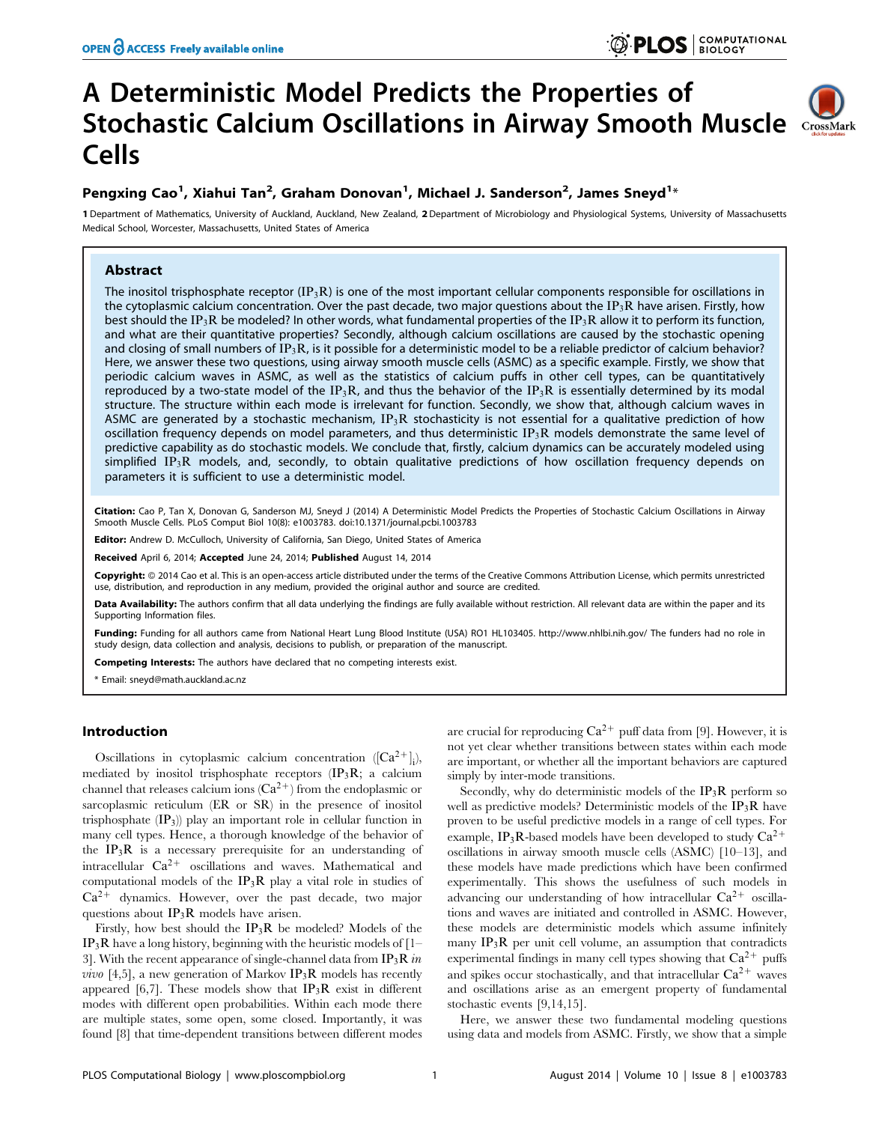# A Deterministic Model Predicts the Properties of Stochastic Calcium Oscillations in Airway Smooth Muscle CrossMark Cells

## Pengxing Cao<sup>1</sup>, Xiahui Tan<sup>2</sup>, Graham Donovan<sup>1</sup>, Michael J. Sanderson<sup>2</sup>, James Sneyd<sup>1</sup>\*

1 Department of Mathematics, University of Auckland, Auckland, New Zealand, 2Department of Microbiology and Physiological Systems, University of Massachusetts Medical School, Worcester, Massachusetts, United States of America

## Abstract

The inositol trisphosphate receptor  $(IP_3R)$  is one of the most important cellular components responsible for oscillations in the cytoplasmic calcium concentration. Over the past decade, two major questions about the IP<sub>3</sub>R have arisen. Firstly, how best should the IP<sub>3</sub>R be modeled? In other words, what fundamental properties of the IP<sub>3</sub>R allow it to perform its function, and what are their quantitative properties? Secondly, although calcium oscillations are caused by the stochastic opening and closing of small numbers of IP<sub>3</sub>R, is it possible for a deterministic model to be a reliable predictor of calcium behavior? Here, we answer these two questions, using airway smooth muscle cells (ASMC) as a specific example. Firstly, we show that periodic calcium waves in ASMC, as well as the statistics of calcium puffs in other cell types, can be quantitatively reproduced by a two-state model of the IP<sub>3</sub>R, and thus the behavior of the IP<sub>3</sub>R is essentially determined by its modal structure. The structure within each mode is irrelevant for function. Secondly, we show that, although calcium waves in ASMC are generated by a stochastic mechanism,  $IP_3R$  stochasticity is not essential for a qualitative prediction of how oscillation frequency depends on model parameters, and thus deterministic  $IP_3R$  models demonstrate the same level of predictive capability as do stochastic models. We conclude that, firstly, calcium dynamics can be accurately modeled using simplified IP<sub>3</sub>R models, and, secondly, to obtain qualitative predictions of how oscillation frequency depends on parameters it is sufficient to use a deterministic model.

Citation: Cao P, Tan X, Donovan G, Sanderson MJ, Sneyd J (2014) A Deterministic Model Predicts the Properties of Stochastic Calcium Oscillations in Airway Smooth Muscle Cells. PLoS Comput Biol 10(8): e1003783. doi:10.1371/journal.pcbi.1003783

Editor: Andrew D. McCulloch, University of California, San Diego, United States of America

Received April 6, 2014; Accepted June 24, 2014; Published August 14, 2014

Copyright: © 2014 Cao et al. This is an open-access article distributed under the terms of the [Creative Commons Attribution License,](http://creativecommons.org/licenses/by/4.0/) which permits unrestricted use, distribution, and reproduction in any medium, provided the original author and source are credited.

Data Availability: The authors confirm that all data underlying the findings are fully available without restriction. All relevant data are within the paper and its Supporting Information files.

Funding: Funding for all authors came from National Heart Lung Blood Institute (USA) RO1 HL103405.<http://www.nhlbi.nih.gov/> The funders had no role in study design, data collection and analysis, decisions to publish, or preparation of the manuscript.

Competing Interests: The authors have declared that no competing interests exist.

\* Email: sneyd@math.auckland.ac.nz

## Introduction

Oscillations in cytoplasmic calcium concentration  $([Ca^{2+}]_i)$ , mediated by inositol trisphosphate receptors  $(\mathbf{IP}_3\mathbf{R})$ ; a calcium channel that releases calcium ions  $(Ca^{2+})$  from the endoplasmic or sarcoplasmic reticulum (ER or SR) in the presence of inositol trisphosphate  $(\mathbf{IP}_3)$  play an important role in cellular function in many cell types. Hence, a thorough knowledge of the behavior of the  $IP_3R$  is a necessary prerequisite for an understanding of intracellular  $Ca^{2+}$  oscillations and waves. Mathematical and computational models of the  $IP_3R$  play a vital role in studies of  $Ca^{2+}$  dynamics. However, over the past decade, two major questions about  $IP_3R$  models have arisen.

Firstly, how best should the IP3R be modeled? Models of the  $IP_3R$  have a long history, beginning with the heuristic models of  $[1-\frac{1}{2}]$ 3]. With the recent appearance of single-channel data from  $IP_3R$  in *vivo* [4,5], a new generation of Markov  $IP_3R$  models has recently appeared [6,7]. These models show that  $IP_3R$  exist in different modes with different open probabilities. Within each mode there are multiple states, some open, some closed. Importantly, it was found [8] that time-dependent transitions between different modes

are crucial for reproducing  $Ca^{2+}$  puff data from [9]. However, it is not yet clear whether transitions between states within each mode are important, or whether all the important behaviors are captured simply by inter-mode transitions.

Secondly, why do deterministic models of the  $IP_3R$  perform so well as predictive models? Deterministic models of the IP3R have proven to be useful predictive models in a range of cell types. For example, IP<sub>3</sub>R-based models have been developed to study  $Ca^{2+}$ oscillations in airway smooth muscle cells (ASMC) [10–13], and these models have made predictions which have been confirmed experimentally. This shows the usefulness of such models in advancing our understanding of how intracellular  $Ca^{2+}$  oscillations and waves are initiated and controlled in ASMC. However, these models are deterministic models which assume infinitely many  $IP_3R$  per unit cell volume, an assumption that contradicts experimental findings in many cell types showing that  $Ca^{2+}$  puffs and spikes occur stochastically, and that intracellular  $Ca^{2+}$  waves and oscillations arise as an emergent property of fundamental stochastic events [9,14,15].

Here, we answer these two fundamental modeling questions using data and models from ASMC. Firstly, we show that a simple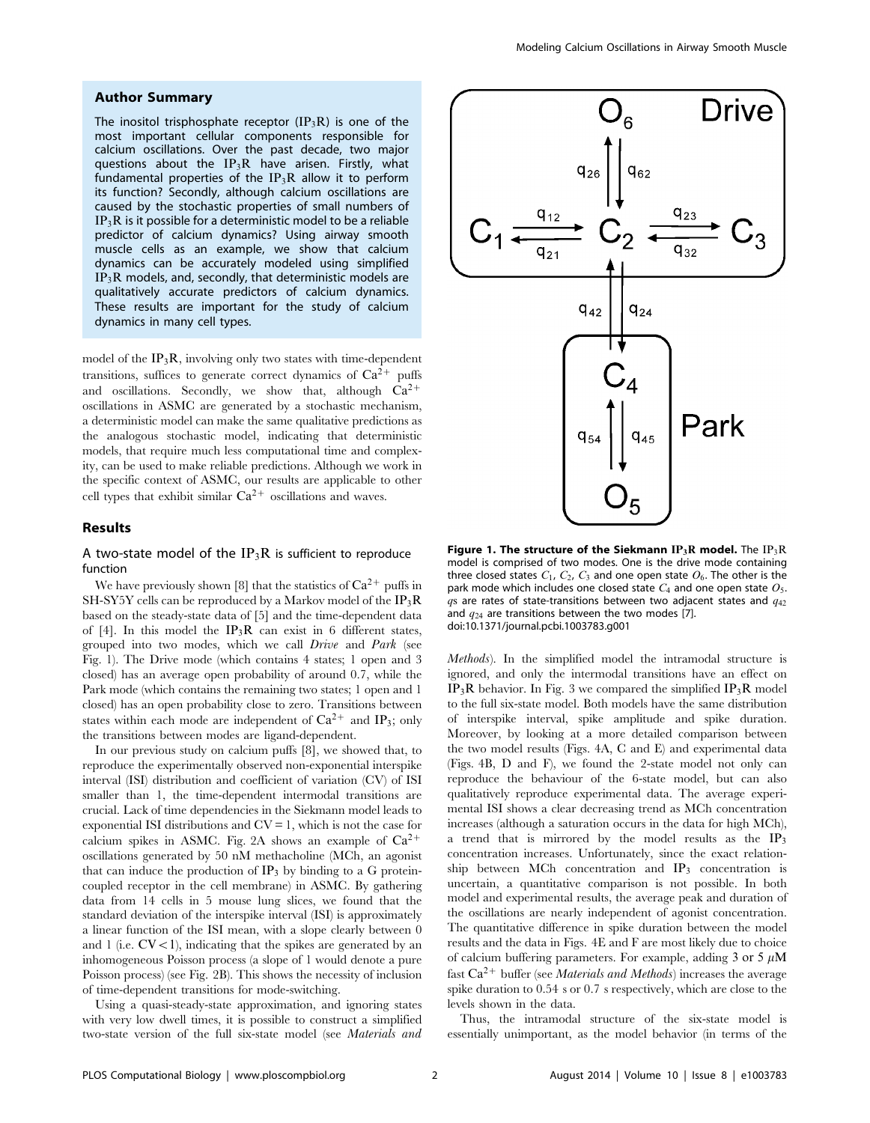### Author Summary

The inositol trisphosphate receptor  $(IP_3R)$  is one of the most important cellular components responsible for calcium oscillations. Over the past decade, two major questions about the  $IP_3R$  have arisen. Firstly, what fundamental properties of the  $IP_3R$  allow it to perform its function? Secondly, although calcium oscillations are caused by the stochastic properties of small numbers of  $IP_3R$  is it possible for a deterministic model to be a reliable predictor of calcium dynamics? Using airway smooth muscle cells as an example, we show that calcium dynamics can be accurately modeled using simplified  $IP_3R$  models, and, secondly, that deterministic models are qualitatively accurate predictors of calcium dynamics. These results are important for the study of calcium dynamics in many cell types.

model of the  $IP_3R$ , involving only two states with time-dependent transitions, suffices to generate correct dynamics of  $Ca^{2+}$  puffs and oscillations. Secondly, we show that, although  $Ca^{2+}$ oscillations in ASMC are generated by a stochastic mechanism, a deterministic model can make the same qualitative predictions as the analogous stochastic model, indicating that deterministic models, that require much less computational time and complexity, can be used to make reliable predictions. Although we work in the specific context of ASMC, our results are applicable to other cell types that exhibit similar  $Ca^{2+}$  oscillations and waves.

#### Results

## A two-state model of the  $IP_3R$  is sufficient to reproduce function

We have previously shown [8] that the statistics of  $Ca^{2+}$  puffs in SH-SY5Y cells can be reproduced by a Markov model of the  $IP_3R$ based on the steady-state data of [5] and the time-dependent data of [4]. In this model the  $IP_3R$  can exist in 6 different states, grouped into two modes, which we call Drive and Park (see Fig. 1). The Drive mode (which contains 4 states; 1 open and 3 closed) has an average open probability of around 0.7, while the Park mode (which contains the remaining two states; 1 open and 1 closed) has an open probability close to zero. Transitions between states within each mode are independent of  $Ca^{2+}$  and IP<sub>3</sub>; only the transitions between modes are ligand-dependent.

In our previous study on calcium puffs [8], we showed that, to reproduce the experimentally observed non-exponential interspike interval (ISI) distribution and coefficient of variation (CV) of ISI smaller than 1, the time-dependent intermodal transitions are crucial. Lack of time dependencies in the Siekmann model leads to exponential ISI distributions and  $CV = 1$ , which is not the case for calcium spikes in ASMC. Fig. 2A shows an example of  $Ca^{2+}$ oscillations generated by 50 nM methacholine (MCh, an agonist that can induce the production of  $IP_3$  by binding to a G proteincoupled receptor in the cell membrane) in ASMC. By gathering data from 14 cells in 5 mouse lung slices, we found that the standard deviation of the interspike interval (ISI) is approximately a linear function of the ISI mean, with a slope clearly between 0 and 1 (i.e.  $CV < 1$ ), indicating that the spikes are generated by an inhomogeneous Poisson process (a slope of 1 would denote a pure Poisson process) (see Fig. 2B). This shows the necessity of inclusion of time-dependent transitions for mode-switching.

Using a quasi-steady-state approximation, and ignoring states with very low dwell times, it is possible to construct a simplified two-state version of the full six-state model (see Materials and



Figure 1. The structure of the Siekmann  $IP_3R$  model. The  $IP_3R$ model is comprised of two modes. One is the drive mode containing three closed states  $C_1$ ,  $C_2$ ,  $C_3$  and one open state  $O_6$ . The other is the park mode which includes one closed state  $C_4$  and one open state  $O_5$ .  $qs$  are rates of state-transitions between two adjacent states and  $q_{42}$ and  $q_{24}$  are transitions between the two modes [7]. doi:10.1371/journal.pcbi.1003783.g001

Methods). In the simplified model the intramodal structure is ignored, and only the intermodal transitions have an effect on  $IP_3R$  behavior. In Fig. 3 we compared the simplified  $IP_3R$  model to the full six-state model. Both models have the same distribution of interspike interval, spike amplitude and spike duration. Moreover, by looking at a more detailed comparison between the two model results (Figs. 4A, C and E) and experimental data (Figs. 4B, D and F), we found the 2-state model not only can reproduce the behaviour of the 6-state model, but can also qualitatively reproduce experimental data. The average experimental ISI shows a clear decreasing trend as MCh concentration increases (although a saturation occurs in the data for high MCh), a trend that is mirrored by the model results as the IP3 concentration increases. Unfortunately, since the exact relationship between MCh concentration and  $IP_3$  concentration is uncertain, a quantitative comparison is not possible. In both model and experimental results, the average peak and duration of the oscillations are nearly independent of agonist concentration. The quantitative difference in spike duration between the model results and the data in Figs. 4E and F are most likely due to choice of calcium buffering parameters. For example, adding 3 or 5  $\mu$ M fast  $Ca^{2+}$  buffer (see *Materials and Methods*) increases the average spike duration to 0.54 s or 0.7 s respectively, which are close to the levels shown in the data.

Thus, the intramodal structure of the six-state model is essentially unimportant, as the model behavior (in terms of the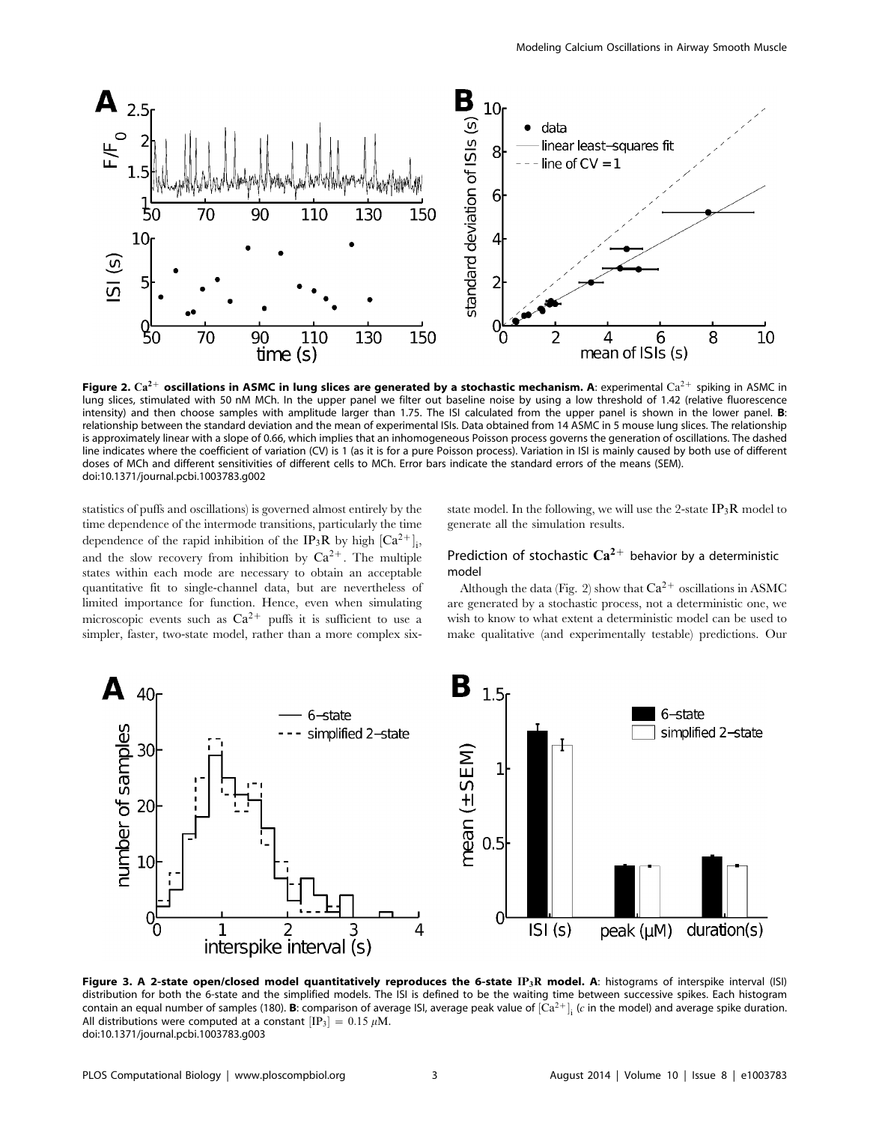

Figure 2.  $Ca^{2+}$  oscillations in ASMC in lung slices are generated by a stochastic mechanism. A: experimental  $Ca^{2+}$  spiking in ASMC in lung slices, stimulated with 50 nM MCh. In the upper panel we filter out baseline noise by using a low threshold of 1.42 (relative fluorescence intensity) and then choose samples with amplitude larger than 1.75. The ISI calculated from the upper panel is shown in the lower panel. **B:** relationship between the standard deviation and the mean of experimental ISIs. Data obtained from 14 ASMC in 5 mouse lung slices. The relationship is approximately linear with a slope of 0.66, which implies that an inhomogeneous Poisson process governs the generation of oscillations. The dashed line indicates where the coefficient of variation (CV) is 1 (as it is for a pure Poisson process). Variation in ISI is mainly caused by both use of different doses of MCh and different sensitivities of different cells to MCh. Error bars indicate the standard errors of the means (SEM). doi:10.1371/journal.pcbi.1003783.g002

statistics of puffs and oscillations) is governed almost entirely by the time dependence of the intermode transitions, particularly the time dependence of the rapid inhibition of the IP<sub>3</sub>R by high  $\left[Ca^{2+}\right]_i$ , and the slow recovery from inhibition by  $Ca^{2+}$ . The multiple states within each mode are necessary to obtain an acceptable quantitative fit to single-channel data, but are nevertheless of limited importance for function. Hence, even when simulating microscopic events such as  $Ca^{2+}$  puffs it is sufficient to use a simpler, faster, two-state model, rather than a more complex sixstate model. In the following, we will use the 2-state  $IP_3R$  model to generate all the simulation results.

## Prediction of stochastic  $Ca^{2+}$  behavior by a deterministic model

Although the data (Fig. 2) show that  $Ca^{2+}$  oscillations in ASMC are generated by a stochastic process, not a deterministic one, we wish to know to what extent a deterministic model can be used to make qualitative (and experimentally testable) predictions. Our



Figure 3. A 2-state open/closed model quantitatively reproduces the 6-state IP<sub>3</sub>R model. A: histograms of interspike interval (ISI) distribution for both the 6-state and the simplified models. The ISI is defined to be the waiting time between successive spikes. Each histogram contain an equal number of samples (180). **B**: comparison of average ISI, average peak value of  $[Ca^{2+}]_i$  (c in the model) and average spike duration. All distributions were computed at a constant  $\text{[IP}_3] = 0.15 \ \mu \text{M}.$ doi:10.1371/journal.pcbi.1003783.g003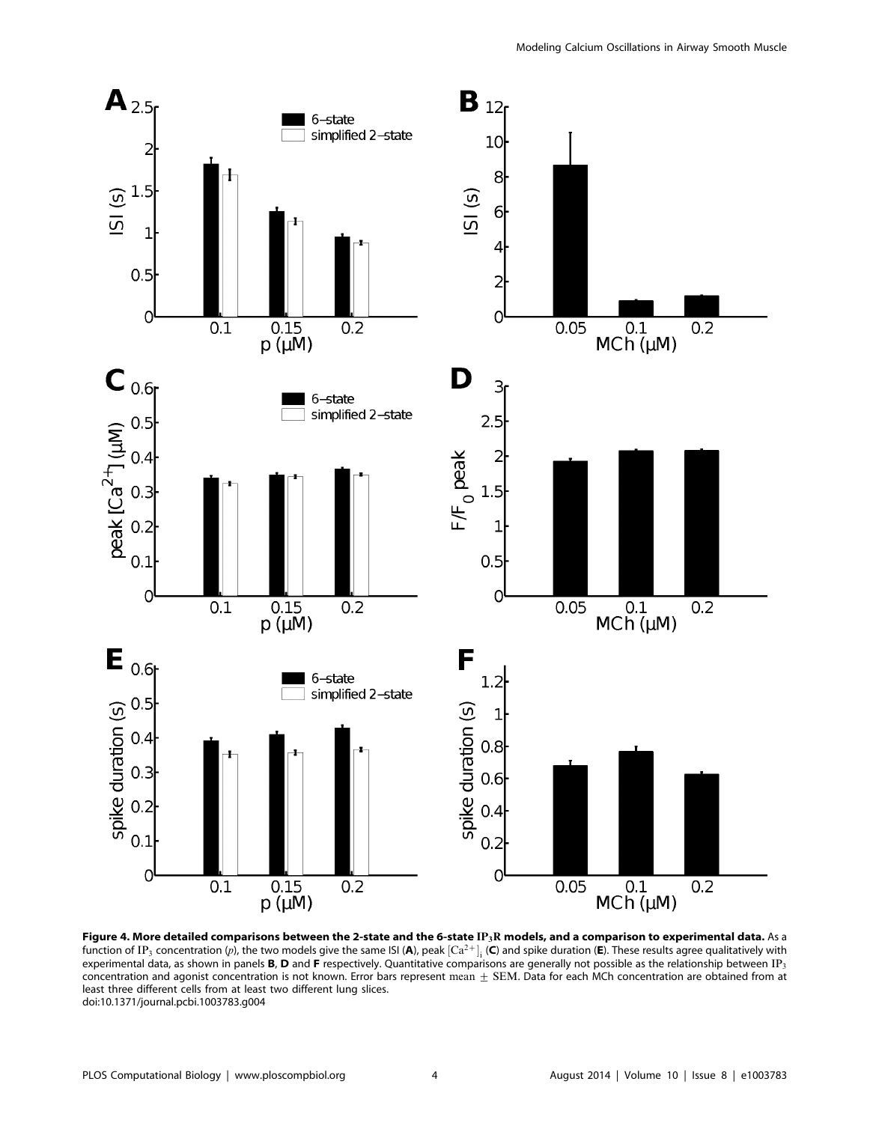

Figure 4. More detailed comparisons between the 2-state and the 6-state  $IP_3R$  models, and a comparison to experimental data. As a function of IP<sub>3</sub> concentration (p), the two models give the same ISI (**A**), peak  ${\rm [Ca^{2+}]_i}$  (**C**) and spike duration (**E**). These results agree qualitatively with experimental data, as shown in panels **B**, **D** and **F** respectively. Quantitative comparisons are generally not possible as the relationship between IP<sub>3</sub> concentration and agonist concentration is not known. Error bars represent mean  $\pm$  SEM. Data for each MCh concentration are obtained from at least three different cells from at least two different lung slices. doi:10.1371/journal.pcbi.1003783.g004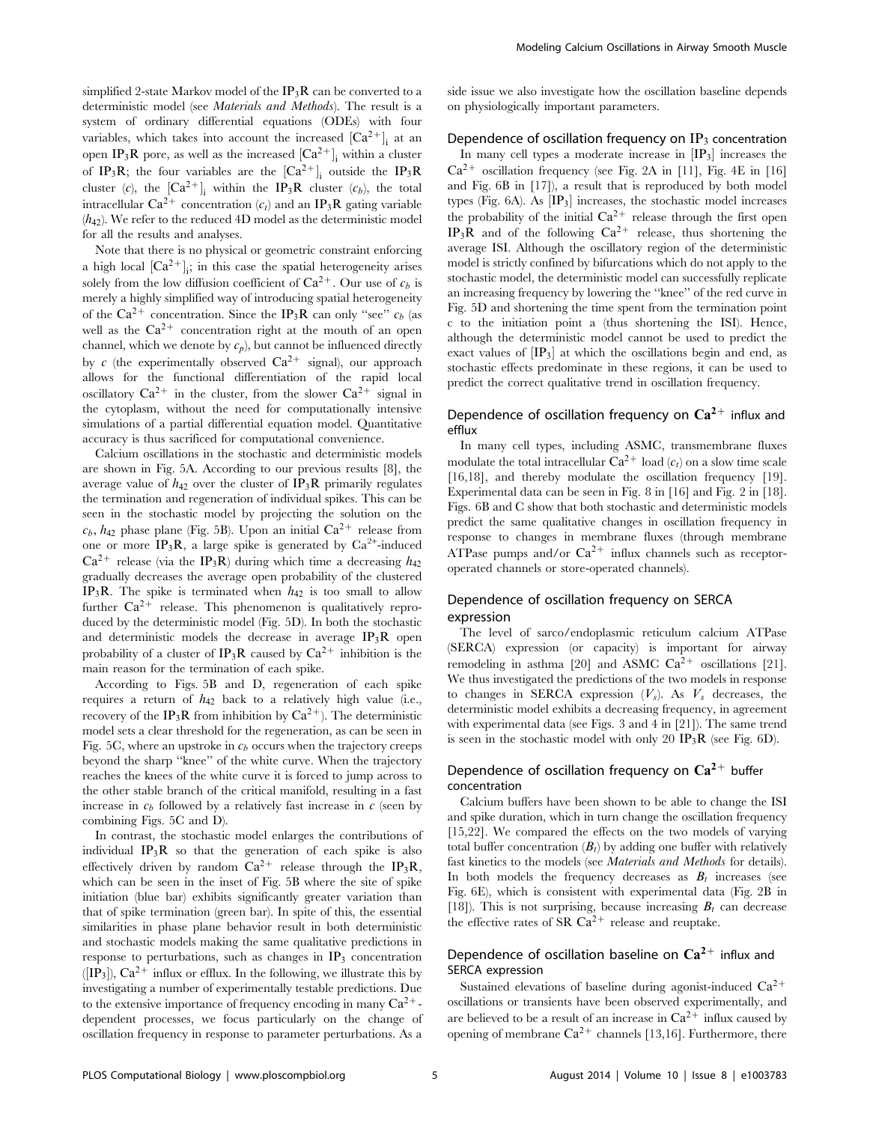simplified 2-state Markov model of the  $IP_3R$  can be converted to a deterministic model (see Materials and Methods). The result is a system of ordinary differential equations (ODEs) with four variables, which takes into account the increased  $[Ca^{2+}]_i$  at an open IP<sub>3</sub>R pore, as well as the increased  $\left[Ca^{2+}\right]_i$  within a cluster of IP<sub>3</sub>R; the four variables are the  $[Ca^{2+}]_i$  outside the IP<sub>3</sub>R cluster (c), the  $[Ca^{2+}]_i$  within the IP<sub>3</sub>R cluster (c<sub>b</sub>), the total intracellular Ca<sup>2+</sup> concentration  $(c_t)$  and an IP<sub>3</sub>R gating variable  $(h_{42})$ . We refer to the reduced 4D model as the deterministic model for all the results and analyses.

Note that there is no physical or geometric constraint enforcing a high local  $[Ca^{2+}]_i$ ; in this case the spatial heterogeneity arises solely from the low diffusion coefficient of  $Ca^{2+}$ . Our use of  $c<sub>b</sub>$  is merely a highly simplified way of introducing spatial heterogeneity of the Ca<sup>2+</sup> concentration. Since the IP<sub>3</sub>R can only "see"  $c_b$  (as well as the  $Ca^{2+}$  concentration right at the mouth of an open channel, which we denote by  $c_p$ ), but cannot be influenced directly by c (the experimentally observed  $Ca^{2+}$  signal), our approach allows for the functional differentiation of the rapid local oscillatory  $Ca^{2+}$  in the cluster, from the slower  $Ca^{2+}$  signal in the cytoplasm, without the need for computationally intensive simulations of a partial differential equation model. Quantitative accuracy is thus sacrificed for computational convenience.

Calcium oscillations in the stochastic and deterministic models are shown in Fig. 5A. According to our previous results [8], the average value of  $h_{42}$  over the cluster of  $IP_3R$  primarily regulates the termination and regeneration of individual spikes. This can be seen in the stochastic model by projecting the solution on the  $c_b$ ,  $h_{42}$  phase plane (Fig. 5B). Upon an initial  $Ca^{2+}$  release from one or more  $IP_3R$ , a large spike is generated by  $Ca^{2+}$ -induced  $Ca^{2+}$  release (via the IP<sub>3</sub>R) during which time a decreasing  $h_{42}$ gradually decreases the average open probability of the clustered IP<sub>3</sub>R. The spike is terminated when  $h_{42}$  is too small to allow further  $Ca^{2+}$  release. This phenomenon is qualitatively reproduced by the deterministic model (Fig. 5D). In both the stochastic and deterministic models the decrease in average  $IP_3R$  open probability of a cluster of IP<sub>3</sub>R caused by  $Ca^{2+}$  inhibition is the main reason for the termination of each spike.

According to Figs. 5B and D, regeneration of each spike requires a return of  $h_{42}$  back to a relatively high value (i.e., recovery of the IP<sub>3</sub>R from inhibition by  $Ca^{2+}$ ). The deterministic model sets a clear threshold for the regeneration, as can be seen in Fig. 5C, where an upstroke in  $c<sub>b</sub>$  occurs when the trajectory creeps beyond the sharp ''knee'' of the white curve. When the trajectory reaches the knees of the white curve it is forced to jump across to the other stable branch of the critical manifold, resulting in a fast increase in  $c<sub>b</sub>$  followed by a relatively fast increase in c (seen by combining Figs. 5C and D).

In contrast, the stochastic model enlarges the contributions of individual  $IP_3R$  so that the generation of each spike is also effectively driven by random  $Ca^{2+}$  release through the IP<sub>3</sub>R, which can be seen in the inset of Fig. 5B where the site of spike initiation (blue bar) exhibits significantly greater variation than that of spike termination (green bar). In spite of this, the essential similarities in phase plane behavior result in both deterministic and stochastic models making the same qualitative predictions in response to perturbations, such as changes in  $IP_3$  concentration  $([IP_3])$ ,  $Ca^{2+}$  influx or efflux. In the following, we illustrate this by investigating a number of experimentally testable predictions. Due to the extensive importance of frequency encoding in many  $Ca^{2+}$ dependent processes, we focus particularly on the change of oscillation frequency in response to parameter perturbations. As a side issue we also investigate how the oscillation baseline depends on physiologically important parameters.

#### Dependence of oscillation frequency on  $IP_3$  concentration

In many cell types a moderate increase in  $[IP_3]$  increases the  $Ca^{2+}$  oscillation frequency (see Fig. 2A in [11], Fig. 4E in [16] and Fig. 6B in [17]), a result that is reproduced by both model types (Fig. 6A). As  $\left[\text{IP}_3\right]$  increases, the stochastic model increases the probability of the initial  $Ca^{2+}$  release through the first open IP<sub>3</sub>R and of the following  $Ca^{2+}$  release, thus shortening the average ISI. Although the oscillatory region of the deterministic model is strictly confined by bifurcations which do not apply to the stochastic model, the deterministic model can successfully replicate an increasing frequency by lowering the ''knee'' of the red curve in Fig. 5D and shortening the time spent from the termination point c to the initiation point a (thus shortening the ISI). Hence, although the deterministic model cannot be used to predict the exact values of  $\left[\text{IP}_3\right]$  at which the oscillations begin and end, as stochastic effects predominate in these regions, it can be used to predict the correct qualitative trend in oscillation frequency.

## Dependence of oscillation frequency on  $Ca^{2+}$  influx and efflux

In many cell types, including ASMC, transmembrane fluxes modulate the total intracellular  $Ca^{2+}$  load  $(c_t)$  on a slow time scale [16,18], and thereby modulate the oscillation frequency [19]. Experimental data can be seen in Fig. 8 in [16] and Fig. 2 in [18]. Figs. 6B and C show that both stochastic and deterministic models predict the same qualitative changes in oscillation frequency in response to changes in membrane fluxes (through membrane ATPase pumps and/or  $Ca^{2+}$  influx channels such as receptoroperated channels or store-operated channels).

## Dependence of oscillation frequency on SERCA expression

The level of sarco/endoplasmic reticulum calcium ATPase (SERCA) expression (or capacity) is important for airway remodeling in asthma [20] and ASMC  $Ca^{2+}$  oscillations [21]. We thus investigated the predictions of the two models in response to changes in SERCA expression  $(V_s)$ . As  $V_s$  decreases, the deterministic model exhibits a decreasing frequency, in agreement with experimental data (see Figs. 3 and 4 in [21]). The same trend is seen in the stochastic model with only 20  $IP_3R$  (see Fig. 6D).

## Dependence of oscillation frequency on  $Ca^{2+}$  buffer concentration

Calcium buffers have been shown to be able to change the ISI and spike duration, which in turn change the oscillation frequency [15,22]. We compared the effects on the two models of varying total buffer concentration  $(B_t)$  by adding one buffer with relatively fast kinetics to the models (see Materials and Methods for details). In both models the frequency decreases as  $B_t$  increases (see Fig. 6E), which is consistent with experimental data (Fig. 2B in [18]). This is not surprising, because increasing  $B_t$  can decrease the effective rates of SR  $Ca^{2+}$  release and reuptake.

## Dependence of oscillation baseline on  $Ca^{2+}$  influx and SERCA expression

Sustained elevations of baseline during agonist-induced  $Ca^{2+}$ oscillations or transients have been observed experimentally, and are believed to be a result of an increase in  $Ca^{2+}$  influx caused by opening of membrane  $Ca^{2+}$  channels [13,16]. Furthermore, there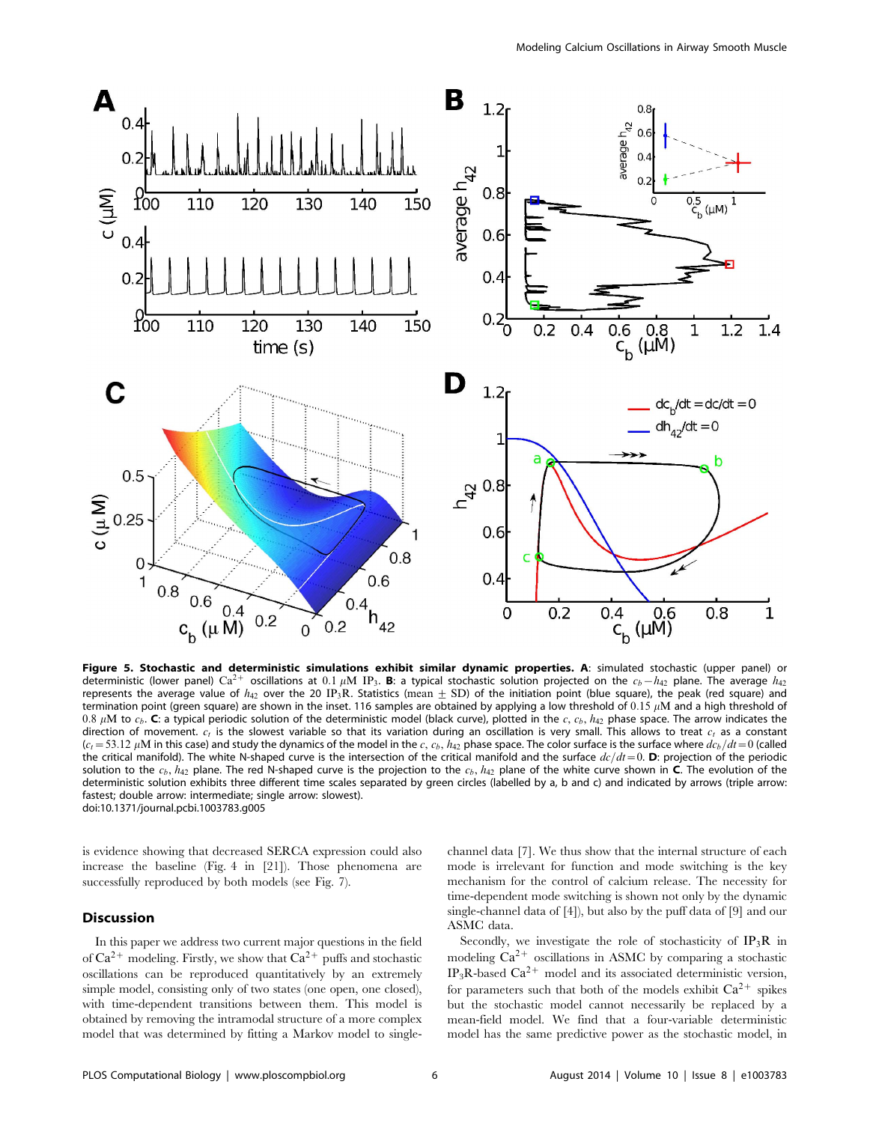

Figure 5. Stochastic and deterministic simulations exhibit similar dynamic properties. A: simulated stochastic (upper panel) or deterministic (lower panel) Ca<sup>2+</sup> oscillations at 0.1  $\mu$ M IP<sub>3</sub>. **B**: a typical stochastic solution projected on the  $c_b-h_{42}$  plane. The average  $h_{42}$ represents the average value of  $h_{42}$  over the 20 IP<sub>3</sub>R. Statistics (mean  $\pm$  SD) of the initiation point (blue square), the peak (red square) and termination point (green square) are shown in the inset. 116 samples are obtained by applying a low threshold of  $0.15 \mu M$  and a high threshold of  $0.8~\mu{\rm M}$  to  $c_b$ . **C**: a typical periodic solution of the deterministic model (black curve), plotted in the  $c,$   $c_b,$   $h_{42}$  phase space. The arrow indicates the direction of movement.  $c_t$  is the slowest variable so that its variation during an oscillation is very small. This allows to treat  $c_t$  as a constant  $(c_t=53.12 \,\mu\text{M}$  in this case) and study the dynamics of the model in the  $c$ ,  $c_b$ ,  $h_{42}$  phase space. The color surface is the surface where  $dc_b/dt=0$  (called the critical manifold). The white N-shaped curve is the intersection of the critical manifold and the surface  $dc/dt=0$ . D: projection of the periodic solution to the  $c_b$ ,  $h_{42}$  plane. The red N-shaped curve is the projection to the  $c_b$ ,  $h_{42}$  plane of the white curve shown in C. The evolution of the deterministic solution exhibits three different time scales separated by green circles (labelled by a, b and c) and indicated by arrows (triple arrow: fastest; double arrow: intermediate; single arrow: slowest). doi:10.1371/journal.pcbi.1003783.g005

is evidence showing that decreased SERCA expression could also increase the baseline (Fig. 4 in [21]). Those phenomena are successfully reproduced by both models (see Fig. 7).

## **Discussion**

In this paper we address two current major questions in the field of  $Ca^{2+}$  modeling. Firstly, we show that  $Ca^{2+}$  puffs and stochastic oscillations can be reproduced quantitatively by an extremely simple model, consisting only of two states (one open, one closed), with time-dependent transitions between them. This model is obtained by removing the intramodal structure of a more complex model that was determined by fitting a Markov model to singlechannel data [7]. We thus show that the internal structure of each mode is irrelevant for function and mode switching is the key mechanism for the control of calcium release. The necessity for time-dependent mode switching is shown not only by the dynamic single-channel data of [4]), but also by the puff data of [9] and our ASMC data.

Secondly, we investigate the role of stochasticity of  $IP_3R$  in modeling  $Ca^{2+}$  oscillations in ASMC by comparing a stochastic  $IP_3R$ -based  $Ca^{2+}$  model and its associated deterministic version, for parameters such that both of the models exhibit  $Ca^{2+}$  spikes but the stochastic model cannot necessarily be replaced by a mean-field model. We find that a four-variable deterministic model has the same predictive power as the stochastic model, in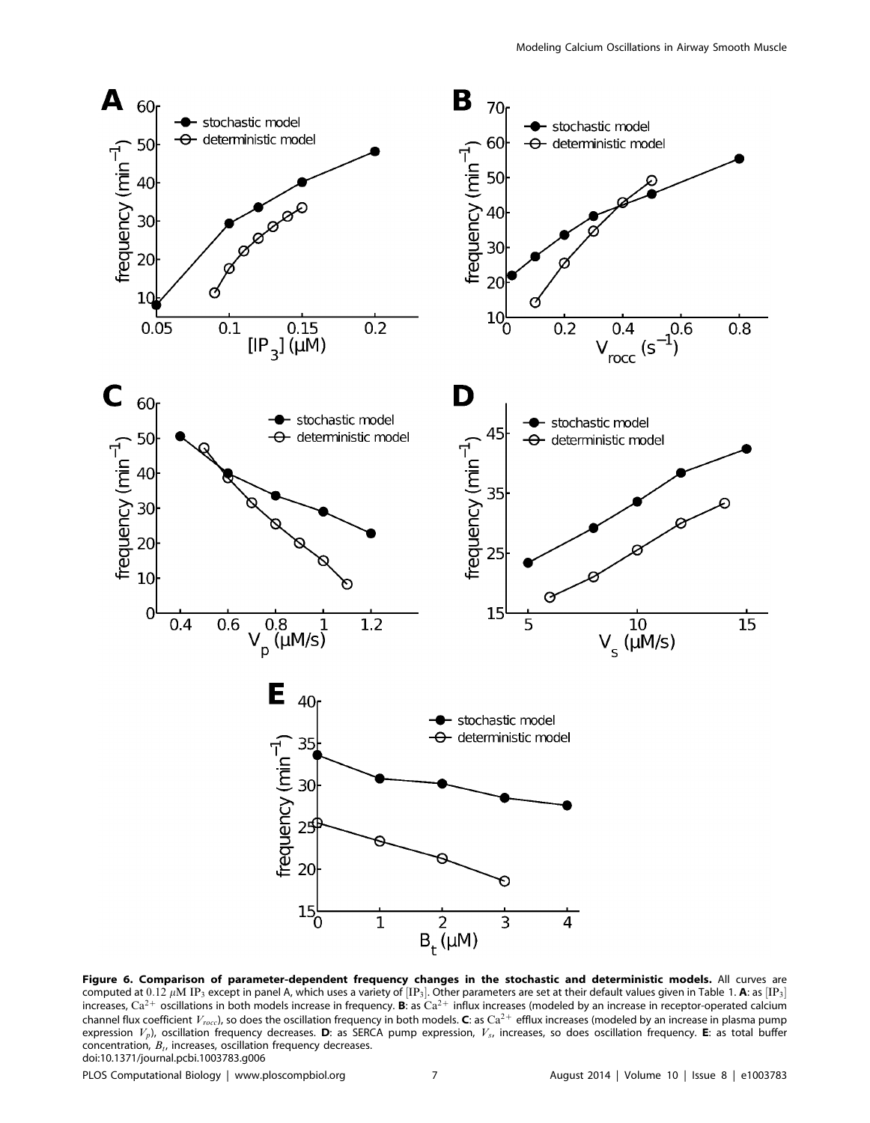

Figure 6. Comparison of parameter-dependent frequency changes in the stochastic and deterministic models. All curves are computed at  $0.12~\mu{\rm M}$  IP $_3$  except in panel A, which uses a variety of  $[{\rm IP}_3]$ . Other parameters are set at their default values given in Table 1. **A**: as  $[{\rm IP}_3]$ increases, Ca<sup>2+</sup> oscillations in both models increase in frequency. B: as Ca<sup>2+</sup> influx increases (modeled by an increase in receptor-operated calcium channel flux coefficient  $V_{rocc}$ ), so does the oscillation frequency in both models. C: as  $Ca^{2+}$  efflux increases (modeled by an increase in plasma pump expression  $V_p$ ), oscillation frequency decreases. D: as SERCA pump expression,  $V_s$ , increases, so does oscillation frequency. E: as total buffer concentration,  $B_t$ , increases, oscillation frequency decreases. doi:10.1371/journal.pcbi.1003783.g006

PLOS Computational Biology | www.ploscompbiol.org 7 7 August 2014 | Volume 10 | Issue 8 | e1003783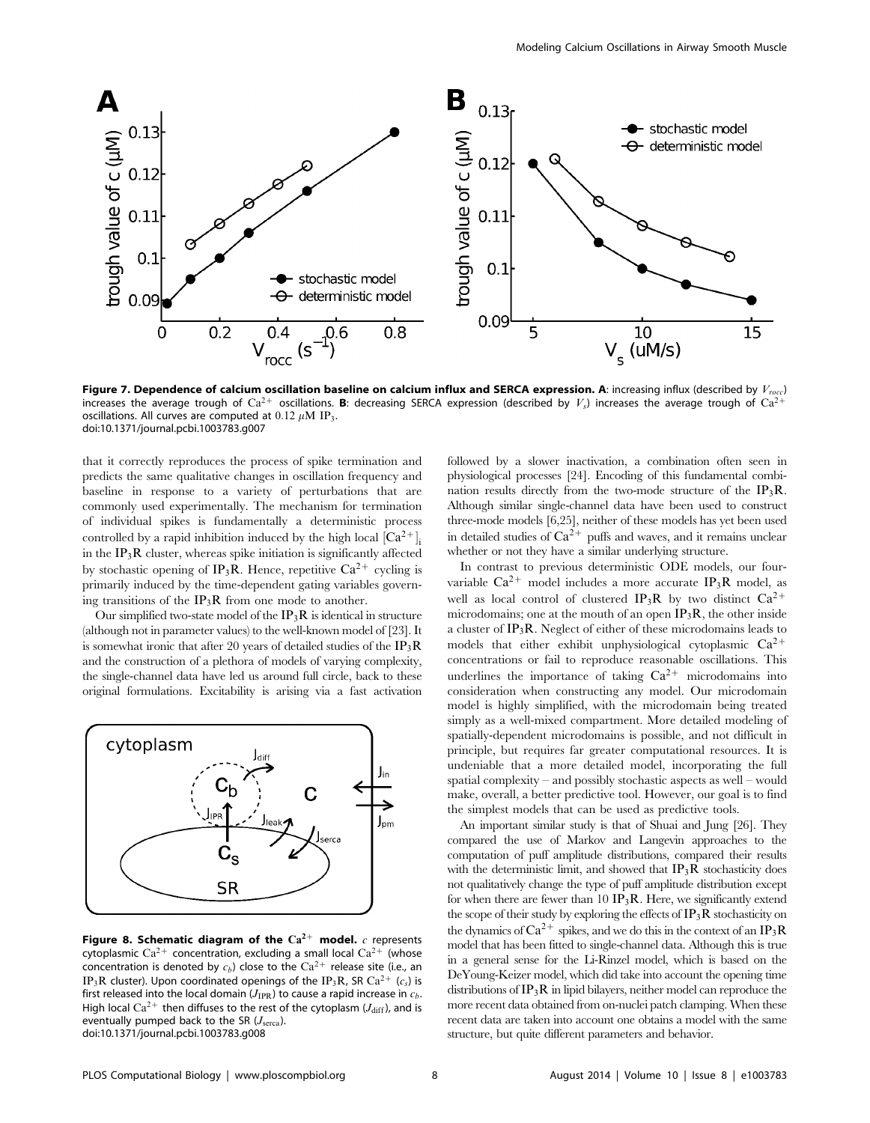

Figure 7. Dependence of calcium oscillation baseline on calcium influx and SERCA expression. A: increasing influx (described by  $V_{\text{recc}}$ ) increases the average trough of Ca<sup>2+</sup> oscillations. B: decreasing SERCA expression (described by  $V_s$ ) increases the average trough of Ca<sup>2-</sup> oscillations. All curves are computed at  $0.12 \mu M$  IP<sub>3</sub>. doi:10.1371/journal.pcbi.1003783.g007

that it correctly reproduces the process of spike termination and predicts the same qualitative changes in oscillation frequency and baseline in response to a variety of perturbations that are commonly used experimentally. The mechanism for termination of individual spikes is fundamentally a deterministic process controlled by a rapid inhibition induced by the high local  $\left[Ca^{2+}\right]_{i}$ in the  $IP_3R$  cluster, whereas spike initiation is significantly affected by stochastic opening of IP<sub>3</sub>R. Hence, repetitive  $Ca^{2+}$  cycling is primarily induced by the time-dependent gating variables governing transitions of the  $IP_3R$  from one mode to another.

Our simplified two-state model of the  $IP_3R$  is identical in structure (although not in parameter values) to the well-known model of [23]. It is somewhat ironic that after 20 years of detailed studies of the  $IP_3R$ and the construction of a plethora of models of varying complexity, the single-channel data have led us around full circle, back to these original formulations. Excitability is arising via a fast activation



Figure 8. Schematic diagram of the  $Ca^{2+}$  model. c represents cytoplasmic  $Ca^{2+}$  concentration, excluding a small local  $Ca^{2+}$  (whose concentration is denoted by  $c_b$ ) close to the Ca<sup>2+</sup> release site (i.e., an IP<sub>3</sub>R cluster). Upon coordinated openings of the IP<sub>3</sub>R, SR Ca<sup>2+</sup> (c<sub>s</sub>) is first released into the local domain ( $J_{IPR}$ ) to cause a rapid increase in  $c_b$ . High local  $Ca^{2+}$  then diffuses to the rest of the cytoplasm ( $J_{diff}$ ), and is eventually pumped back to the SR  $(J<sub>serca</sub>)$ . doi:10.1371/journal.pcbi.1003783.g008

followed by a slower inactivation, a combination often seen in physiological processes [24]. Encoding of this fundamental combination results directly from the two-mode structure of the  $IP_3R$ . Although similar single-channel data have been used to construct three-mode models [6,25], neither of these models has yet been used in detailed studies of  $\mathrm{Ca^{2+}}$  puffs and waves, and it remains unclear whether or not they have a similar underlying structure.

In contrast to previous deterministic ODE models, our fourvariable  $Ca^{2+}$  model includes a more accurate IP<sub>3</sub>R model, as well as local control of clustered IP<sub>3</sub>R by two distinct  $Ca^{2+}$ microdomains; one at the mouth of an open  $IP_3R$ , the other inside a cluster of  $IP_3R$ . Neglect of either of these microdomains leads to models that either exhibit unphysiological cytoplasmic  $Ca^{2+}$ concentrations or fail to reproduce reasonable oscillations. This underlines the importance of taking  $Ca^{2+}$  microdomains into consideration when constructing any model. Our microdomain model is highly simplified, with the microdomain being treated simply as a well-mixed compartment. More detailed modeling of spatially-dependent microdomains is possible, and not difficult in principle, but requires far greater computational resources. It is undeniable that a more detailed model, incorporating the full spatial complexity – and possibly stochastic aspects as well – would make, overall, a better predictive tool. However, our goal is to find the simplest models that can be used as predictive tools.

An important similar study is that of Shuai and Jung [26]. They compared the use of Markov and Langevin approaches to the computation of puff amplitude distributions, compared their results with the deterministic limit, and showed that  $IP_3R$  stochasticity does not qualitatively change the type of puff amplitude distribution except for when there are fewer than  $10 \text{ IP}_3\text{R}$ . Here, we significantly extend the scope of their study by exploring the effects of  $IP_3R$  stochasticity on the dynamics of  $Ca^{2+}$  spikes, and we do this in the context of an IP<sub>3</sub>R model that has been fitted to single-channel data. Although this is true in a general sense for the Li-Rinzel model, which is based on the DeYoung-Keizer model, which did take into account the opening time distributions of  $IP_3R$  in lipid bilayers, neither model can reproduce the more recent data obtained from on-nuclei patch clamping. When these recent data are taken into account one obtains a model with the same structure, but quite different parameters and behavior.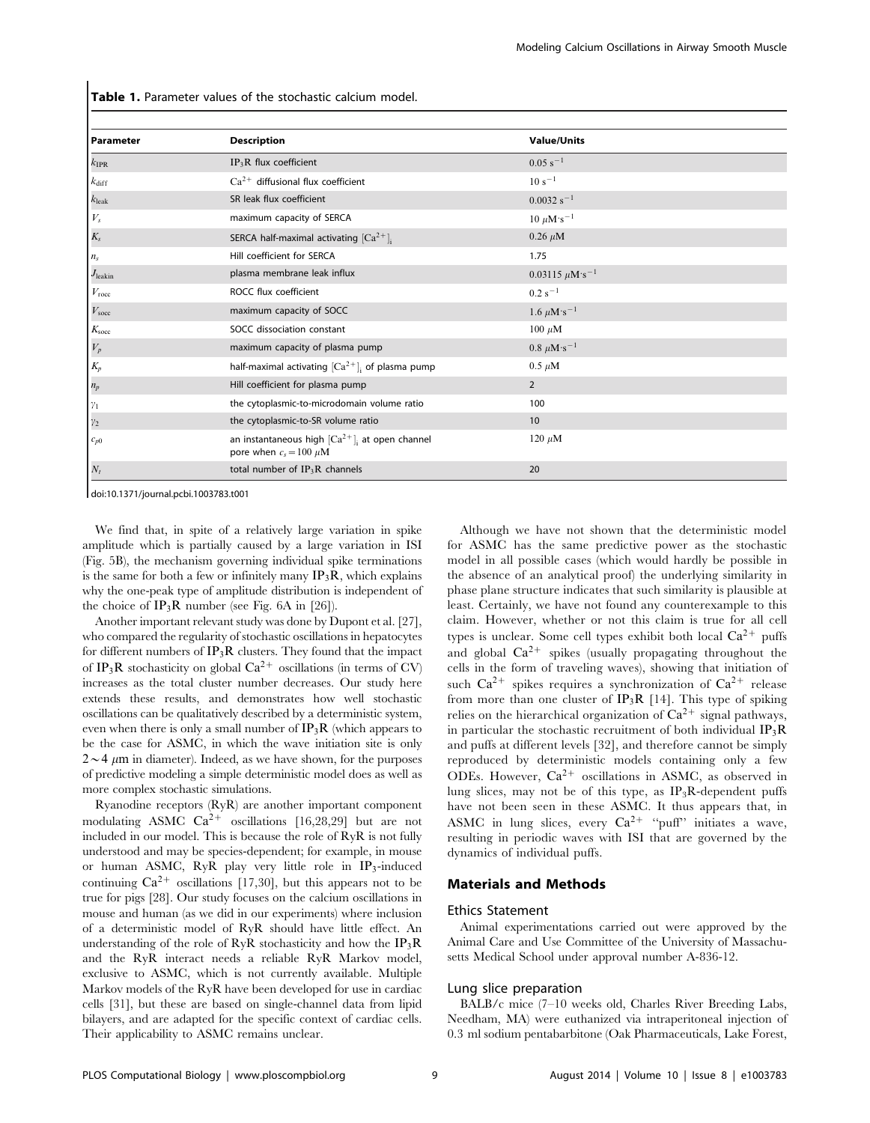Table 1. Parameter values of the stochastic calcium model.

| Parameter         | <b>Description</b>                                                                            | <b>Value/Units</b>             |  |
|-------------------|-----------------------------------------------------------------------------------------------|--------------------------------|--|
| $k_{\rm IPR}$     | $IP_3R$ flux coefficient                                                                      | $0.05 s^{-1}$                  |  |
| $k_{\rm diff}$    | $Ca2+$ diffusional flux coefficient                                                           | $10 s^{-1}$                    |  |
| $k_{\rm leak}$    | SR leak flux coefficient                                                                      | $0.0032 s^{-1}$                |  |
| ${\cal V}_s$      | maximum capacity of SERCA                                                                     | 10 $\mu$ M·s <sup>-1</sup>     |  |
| $K_s$             | SERCA half-maximal activating $[Ca^{2+}]$ ;                                                   | $0.26 \mu M$                   |  |
| $n_s$             | Hill coefficient for SERCA                                                                    | 1.75                           |  |
| $J_{\rm leakin}$  | plasma membrane leak influx                                                                   | $0.03115 \ \mu M \cdot s^{-1}$ |  |
| $V_{\text{rocc}}$ | ROCC flux coefficient                                                                         | $0.2 s^{-1}$                   |  |
| $V_{\text{soc}}$  | maximum capacity of SOCC                                                                      | 1.6 $\mu$ M·s <sup>-1</sup>    |  |
| $K_{\text{soc}}$  | SOCC dissociation constant                                                                    | $100 \ \mu M$                  |  |
| ${\cal V}_p$      | maximum capacity of plasma pump                                                               | $0.8 \ \mu M \cdot s^{-1}$     |  |
| $K_p\,$           | half-maximal activating $[Ca^{2+}]$ ; of plasma pump                                          | $0.5 \mu M$                    |  |
| $n_p$             | Hill coefficient for plasma pump                                                              | $\overline{2}$                 |  |
| $\gamma_1$        | the cytoplasmic-to-microdomain volume ratio                                                   | 100                            |  |
| $\gamma_2$        | the cytoplasmic-to-SR volume ratio                                                            | 10                             |  |
| $c_{p0}$          | an instantaneous high $\left[Ca^{2+}\right]_i$ at open channel<br>pore when $c_s = 100 \mu M$ | 120 $\mu$ M                    |  |
| $N_t$             | total number of $IP_3R$ channels                                                              | 20                             |  |

doi:10.1371/journal.pcbi.1003783.t001

We find that, in spite of a relatively large variation in spike amplitude which is partially caused by a large variation in ISI (Fig. 5B), the mechanism governing individual spike terminations is the same for both a few or infinitely many  $IP_3R$ , which explains why the one-peak type of amplitude distribution is independent of the choice of  $IP_3R$  number (see Fig. 6A in [26]).

Another important relevant study was done by Dupont et al. [27], who compared the regularity of stochastic oscillations in hepatocytes for different numbers of  $IP_3R$  clusters. They found that the impact of IP<sub>3</sub>R stochasticity on global  $Ca^{2+}$  oscillations (in terms of CV) increases as the total cluster number decreases. Our study here extends these results, and demonstrates how well stochastic oscillations can be qualitatively described by a deterministic system, even when there is only a small number of  $IP_3R$  (which appears to be the case for ASMC, in which the wave initiation site is only  $2 \sim 4 \mu m$  in diameter). Indeed, as we have shown, for the purposes of predictive modeling a simple deterministic model does as well as more complex stochastic simulations.

Ryanodine receptors (RyR) are another important component modulating ASMC  $Ca^{2+}$  oscillations [16,28,29] but are not included in our model. This is because the role of RyR is not fully understood and may be species-dependent; for example, in mouse or human ASMC, RyR play very little role in IP3-induced continuing  $Ca^{2+}$  oscillations [17,30], but this appears not to be true for pigs [28]. Our study focuses on the calcium oscillations in mouse and human (as we did in our experiments) where inclusion of a deterministic model of RyR should have little effect. An understanding of the role of RyR stochasticity and how the  $IP_3R$ and the RyR interact needs a reliable RyR Markov model, exclusive to ASMC, which is not currently available. Multiple Markov models of the RyR have been developed for use in cardiac cells [31], but these are based on single-channel data from lipid bilayers, and are adapted for the specific context of cardiac cells. Their applicability to ASMC remains unclear.

Although we have not shown that the deterministic model for ASMC has the same predictive power as the stochastic model in all possible cases (which would hardly be possible in the absence of an analytical proof) the underlying similarity in phase plane structure indicates that such similarity is plausible at least. Certainly, we have not found any counterexample to this claim. However, whether or not this claim is true for all cell types is unclear. Some cell types exhibit both local  $Ca^{2+}$  puffs and global  $Ca^{2+}$  spikes (usually propagating throughout the cells in the form of traveling waves), showing that initiation of such  $Ca^{2+}$  spikes requires a synchronization of  $Ca^{2+}$  release from more than one cluster of  $IP_3R$  [14]. This type of spiking relies on the hierarchical organization of  $Ca^{2+}$  signal pathways, in particular the stochastic recruitment of both individual  $IP_3R$ and puffs at different levels [32], and therefore cannot be simply reproduced by deterministic models containing only a few ODEs. However,  $Ca^{2+}$  oscillations in ASMC, as observed in lung slices, may not be of this type, as  $IP_3R$ -dependent puffs have not been seen in these ASMC. It thus appears that, in ASMC in lung slices, every  $Ca^{2+}$  "puff" initiates a wave, resulting in periodic waves with ISI that are governed by the dynamics of individual puffs.

## Materials and Methods

#### Ethics Statement

Animal experimentations carried out were approved by the Animal Care and Use Committee of the University of Massachusetts Medical School under approval number A-836-12.

#### Lung slice preparation

BALB/c mice (7–10 weeks old, Charles River Breeding Labs, Needham, MA) were euthanized via intraperitoneal injection of 0.3 ml sodium pentabarbitone (Oak Pharmaceuticals, Lake Forest,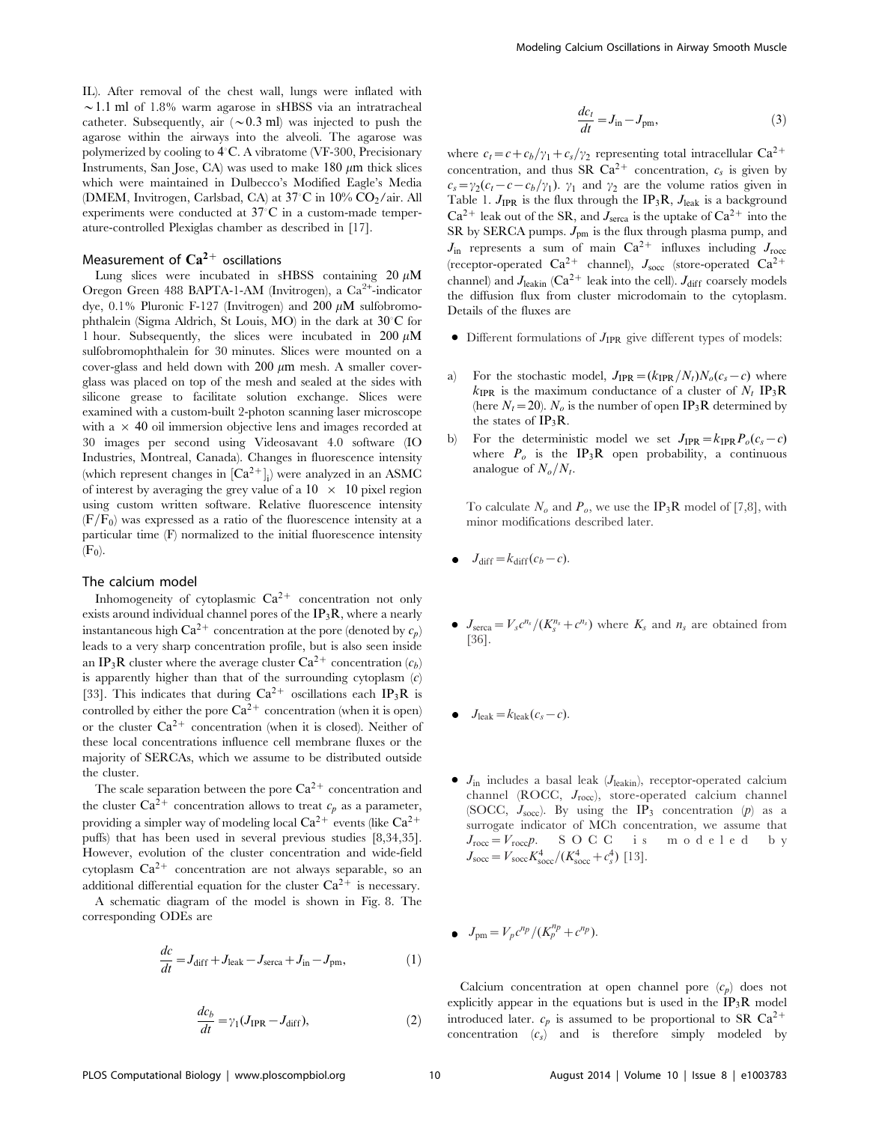IL). After removal of the chest wall, lungs were inflated with  $\sim$  1.1 ml of 1.8% warm agarose in sHBSS via an intratracheal catheter. Subsequently, air  $({\sim}0.3 \text{ ml})$  was injected to push the agarose within the airways into the alveoli. The agarose was polymerized by cooling to 4°C. A vibratome (VF-300, Precisionary Instruments, San Jose, CA) was used to make  $180 \mu m$  thick slices which were maintained in Dulbecco's Modified Eagle's Media (DMEM, Invitrogen, Carlsbad, CA) at 37°C in 10% CO<sub>2</sub>/air. All experiments were conducted at  $37^{\circ}$ C in a custom-made temperature-controlled Plexiglas chamber as described in [17].

## Measurement of  $Ca^{2+}$  oscillations

Lung slices were incubated in sHBSS containing  $20 \mu M$ Oregon Green 488 BAPTA-1-AM (Invitrogen), a Ca<sup>2+</sup>-indicator dye, 0.1% Pluronic F-127 (Invitrogen) and 200  $\mu$ M sulfobromophthalein (Sigma Aldrich, St Louis, MO) in the dark at 30°C for 1 hour. Subsequently, the slices were incubated in  $200 \mu M$ sulfobromophthalein for 30 minutes. Slices were mounted on a cover-glass and held down with  $200 \mu m$  mesh. A smaller coverglass was placed on top of the mesh and sealed at the sides with silicone grease to facilitate solution exchange. Slices were examined with a custom-built 2-photon scanning laser microscope with  $a \times 40$  oil immersion objective lens and images recorded at 30 images per second using Videosavant 4.0 software (IO Industries, Montreal, Canada). Changes in fluorescence intensity (which represent changes in  $[Ca^{2+}]_i$ ) were analyzed in an ASMC of interest by averaging the grey value of a  $10 \times 10$  pixel region using custom written software. Relative fluorescence intensity  $(F/F_0)$  was expressed as a ratio of the fluorescence intensity at a particular time (F) normalized to the initial fluorescence intensity  $(F_0)$ .

## The calcium model

Inhomogeneity of cytoplasmic  $Ca^{2+}$  concentration not only exists around individual channel pores of the  $IP_3R$ , where a nearly instantaneous high  $Ca^{2+}$  concentration at the pore (denoted by  $c_p$ ) leads to a very sharp concentration profile, but is also seen inside an IP<sub>3</sub>R cluster where the average cluster  $Ca^{2+}$  concentration  $(c_b)$ is apparently higher than that of the surrounding cytoplasm  $(c)$ [33]. This indicates that during  $Ca^{2+}$  oscillations each IP<sub>3</sub>R is controlled by either the pore  $Ca^{2+}$  concentration (when it is open) or the cluster  $Ca^{2+}$  concentration (when it is closed). Neither of these local concentrations influence cell membrane fluxes or the majority of SERCAs, which we assume to be distributed outside the cluster.

The scale separation between the pore  $Ca^{2+}$  concentration and the cluster  $Ca^{2+}$  concentration allows to treat  $c_p$  as a parameter, providing a simpler way of modeling local  $Ca^{2+}$  events (like  $Ca^{2+}$ puffs) that has been used in several previous studies [8,34,35]. However, evolution of the cluster concentration and wide-field cytoplasm  $Ca^{2+}$  concentration are not always separable, so an additional differential equation for the cluster  $Ca^{2+}$  is necessary.

A schematic diagram of the model is shown in Fig. 8. The corresponding ODEs are

$$
\frac{dc}{dt} = J_{\text{diff}} + J_{\text{leak}} - J_{\text{serca}} + J_{\text{in}} - J_{\text{pm}},\tag{1}
$$

$$
\frac{dc_b}{dt} = \gamma_1 (J_{\text{IPR}} - J_{\text{diff}}),\tag{2}
$$

$$
\frac{dc_t}{dt} = J_{\text{in}} - J_{\text{pm}},\tag{3}
$$

where  $c_t = c + c_b/\gamma_1 + c_s/\gamma_2$  representing total intracellular Ca<sup>2+</sup> concentration, and thus SR  $Ca^{2+}$  concentration,  $c_s$  is given by  $c_s = \gamma_2(c_t - c - c_b/\gamma_1)$ .  $\gamma_1$  and  $\gamma_2$  are the volume ratios given in Table 1.  $J_{IPR}$  is the flux through the IP<sub>3</sub>R,  $J_{leak}$  is a background  $Ca^{2+}$  leak out of the SR, and  $J_{\text{serca}}$  is the uptake of  $Ca^{2+}$  into the SR by SERCA pumps.  $J_{\text{pm}}$  is the flux through plasma pump, and  $J_{\text{in}}$  represents a sum of main  $Ca^{2+}$  influxes including  $J_{\text{rocc}}$ (receptor-operated  $Ca^{2+}$  channel),  $J_{\text{soc}}$  (store-operated  $Ca^{2+}$ channel) and  $J_{\text{leakin}}$  (Ca<sup>2+</sup> leak into the cell).  $J_{\text{diff}}$  coarsely models the diffusion flux from cluster microdomain to the cytoplasm. Details of the fluxes are

- $\bullet$  Different formulations of  $J_{IPR}$  give different types of models:
- a) For the stochastic model,  $J_{IPR}=(k_{IPR}/N_t)N_o(c_s-c)$  where  $k_{\text{IPR}}$  is the maximum conductance of a cluster of  $N_t$  IP<sub>3</sub>R (here  $N_t$  = 20).  $N_o$  is the number of open IP<sub>3</sub>R determined by the states of  $IP_3R$ .
- b) For the deterministic model we set  $J_{IPR} = k_{IPR}P_o(c_s c)$ where  $P_o$  is the IP<sub>3</sub>R open probability, a continuous analogue of  $N_o/N_t$ .

To calculate  $N<sub>o</sub>$  and  $P<sub>o</sub>$ , we use the IP<sub>3</sub>R model of [7,8], with minor modifications described later.

- $J_{\text{diff}}=k_{\text{diff}}(c_b-c).$
- $J_{\text{serca}} = V_s c^{n_s} / (K_s^{n_s} + c^{n_s})$  where  $K_s$  and  $n_s$  are obtained from [36].
- $J_{\text{leak}}=k_{\text{leak}}(c_s-c).$
- $J_{in}$  includes a basal leak ( $J_{leakin}$ ), receptor-operated calcium channel (ROCC, Jrocc), store-operated calcium channel (SOCC,  $J_{\text{soc}}$ ). By using the IP<sub>3</sub> concentration (p) as a surrogate indicator of MCh concentration, we assume that  $J_{\text{rocc}} = V_{\text{rocc}} p$ . SOCC is modeled by  $J_{\text{soc}} = V_{\text{soc}} K_{\text{soc}}^4 / (K_{\text{soc}}^4 + c_s^4)$  [13].

$$
\bullet \quad J_{\text{pm}} = V_p c^{np} / (K_p^{np} + c^{np}).
$$

Calcium concentration at open channel pore  $(c_p)$  does not explicitly appear in the equations but is used in the  $IP_3R$  model introduced later.  $c_p$  is assumed to be proportional to SR Ca<sup>2+</sup> concentration  $(c_s)$  and is therefore simply modeled by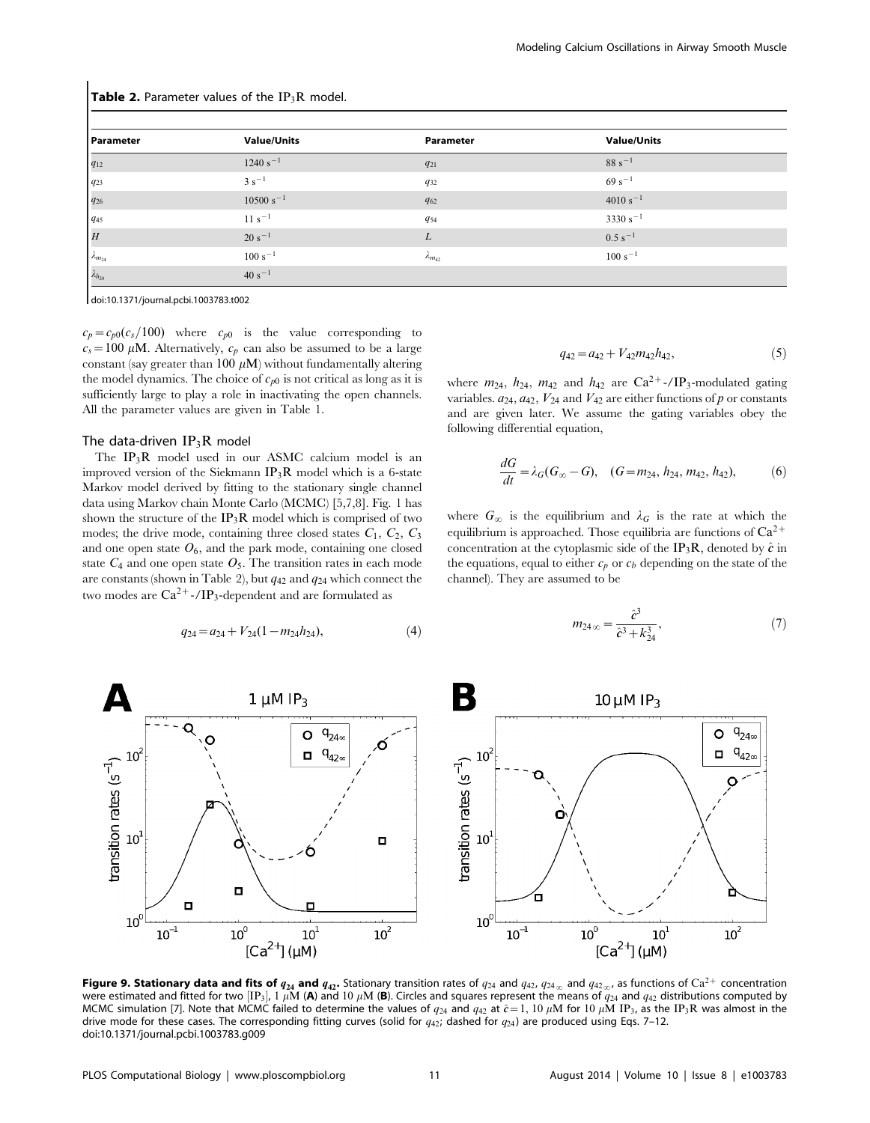| <b>Table 2.</b> Parameter values of the $IP_3R$ model. |                    |                    |                    |  |  |
|--------------------------------------------------------|--------------------|--------------------|--------------------|--|--|
| Parameter                                              | <b>Value/Units</b> | Parameter          | <b>Value/Units</b> |  |  |
| $q_{12}$                                               | $1240 s^{-1}$      | $q_{21}$           | $88 s^{-1}$        |  |  |
| $q_{23}$                                               | $3 s^{-1}$         | $q_{32}$           | $69s^{-1}$         |  |  |
| $q_{26}$                                               | $10500 s^{-1}$     | $q_{62}$           | $4010 s^{-1}$      |  |  |
| 945                                                    | $11 s^{-1}$        | $q_{54}$           | $3330 s^{-1}$      |  |  |
| $ _H$                                                  | $20 s^{-1}$        | L                  | $0.5 s^{-1}$       |  |  |
| $\lambda_{m_{24}}$                                     | $100 s^{-1}$       | $\lambda_{m_{42}}$ | $100 s^{-1}$       |  |  |
| $\lambda_{h_{24}}$                                     | $40 s^{-1}$        |                    |                    |  |  |

doi:10.1371/journal.pcbi.1003783.t002

 $c_p = c_{p0}(c_s/100)$  where  $c_{p0}$  is the value corresponding to  $c_s = 100 \mu M$ . Alternatively,  $c_p$  can also be assumed to be a large constant (say greater than 100  $\mu$ M) without fundamentally altering the model dynamics. The choice of  $c_{p0}$  is not critical as long as it is sufficiently large to play a role in inactivating the open channels. All the parameter values are given in Table 1.

#### The data-driven  $IP_3R$  model

The IP3R model used in our ASMC calcium model is an improved version of the Siekmann  $IP_3R$  model which is a 6-state Markov model derived by fitting to the stationary single channel data using Markov chain Monte Carlo (MCMC) [5,7,8]. Fig. 1 has shown the structure of the  $IP_3R$  model which is comprised of two modes; the drive mode, containing three closed states  $C_1$ ,  $C_2$ ,  $C_3$ and one open state  $O_6$ , and the park mode, containing one closed state  $C_4$  and one open state  $O_5$ . The transition rates in each mode are constants (shown in Table 2), but  $q_{42}$  and  $q_{24}$  which connect the two modes are  $Ca^{2+}$ -/IP<sub>3</sub>-dependent and are formulated as

$$
q_{24} = a_{24} + V_{24}(1 - m_{24}h_{24}), \tag{4}
$$

$$
q_{42} = a_{42} + V_{42}m_{42}h_{42}, \t\t(5)
$$

where  $m_{24}$ ,  $h_{24}$ ,  $m_{42}$  and  $h_{42}$  are Ca<sup>2+</sup>-/IP<sub>3</sub>-modulated gating variables.  $a_{24}$ ,  $a_{42}$ ,  $V_{24}$  and  $V_{42}$  are either functions of p or constants and are given later. We assume the gating variables obey the following differential equation,

$$
\frac{dG}{dt} = \lambda_G(G_{\infty} - G), \quad (G = m_{24}, h_{24}, m_{42}, h_{42}), \tag{6}
$$

where  $G_{\infty}$  is the equilibrium and  $\lambda_G$  is the rate at which the equilibrium is approached. Those equilibria are functions of  $Ca^{2+}$ concentration at the cytoplasmic side of the IP<sub>3</sub>R, denoted by  $\hat{c}$  in the equations, equal to either  $c_p$  or  $c_b$  depending on the state of the channel). They are assumed to be

$$
m_{24\,\infty} = \frac{\hat{c}^3}{\hat{c}^3 + k_{24}^3},\tag{7}
$$



**Figure 9. Stationary data and fits of**  $q_{24}$  **and**  $q_{42}$ **.** Stationary transition rates of  $q_{24}$  and  $q_{42}$ ,  $q_{24}$  and  $q_{42}$ <sub>o</sub>, as functions of Ca<sup>2+</sup> concentration were estimated and fitted for two [IP<sub>3</sub>], 1  $\mu$ M (**A**) and 10  $\mu$ M (**B**). Circles and squares represent the means of  $q_{24}$  and  $q_{42}$  distributions computed by<br>MCMC simulation [7]. Note that MCMC failed to determine drive mode for these cases. The corresponding fitting curves (solid for  $q_{42}$ ; dashed for  $q_{24}$ ) are produced using Eqs. 7–12. doi:10.1371/journal.pcbi.1003783.g009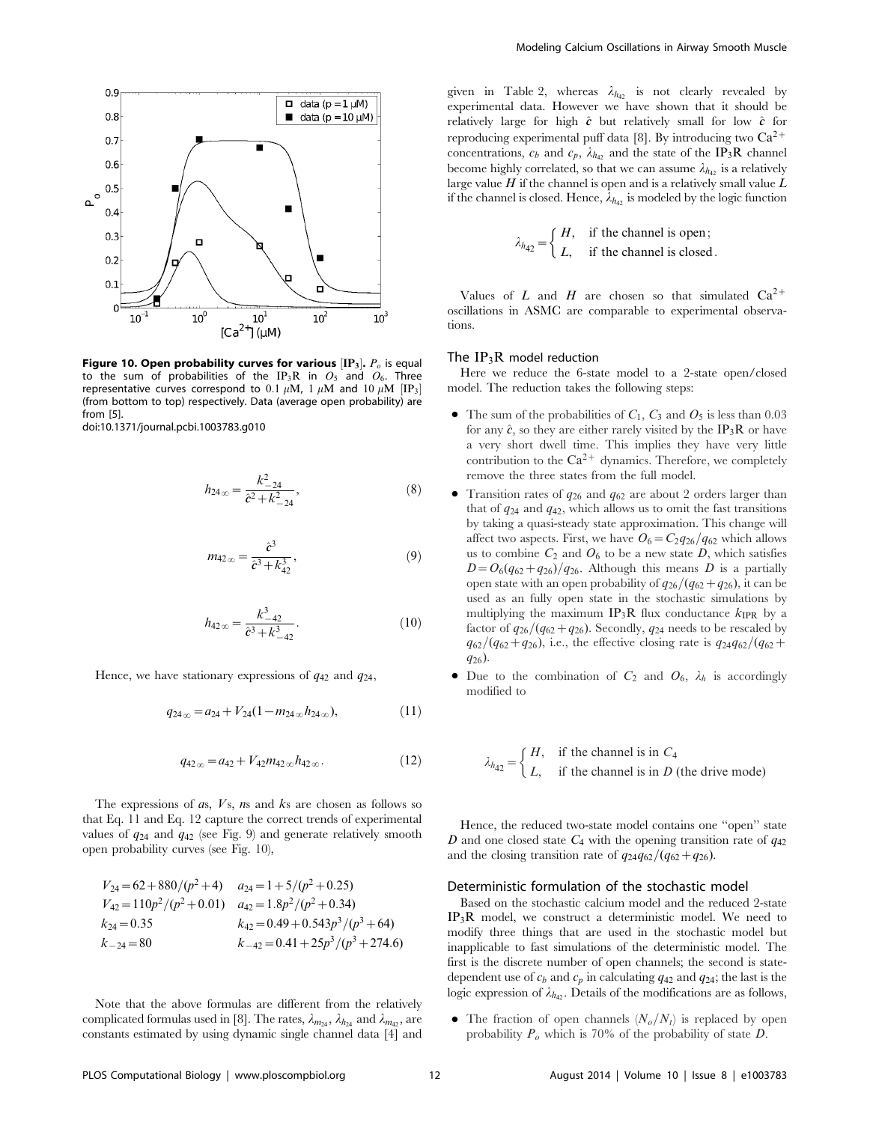

Figure 10. Open probability curves for various  $[\mathbf{IP}_3]$ .  $P_o$  is equal to the sum of probabilities of the IP<sub>3</sub>R in  $O_5$  and  $O_6$ . Three representative curves correspond to  $0.1~\mu{\rm M}$ ,  $1~\mu{\rm M}$  and  $10~\mu{\rm M}$   $[{\rm IP}_3]$ (from bottom to top) respectively. Data (average open probability) are from [5].

doi:10.1371/journal.pcbi.1003783.g010

$$
h_{24\,\infty} = \frac{k_{-24}^2}{\hat{c}^2 + k_{-24}^2},\tag{8}
$$

$$
m_{42\,\infty} = \frac{\hat{c}^3}{\hat{c}^3 + k_{42}^3},\tag{9}
$$

$$
h_{42\,\infty} = \frac{k_{-42}^3}{\hat{c}^3 + k_{-42}^3}.
$$
 (10)

Hence, we have stationary expressions of  $q_{42}$  and  $q_{24}$ ,

$$
q_{24_{\infty}} = a_{24} + V_{24}(1 - m_{24_{\infty}} h_{24_{\infty}}), \tag{11}
$$

$$
q_{42\,\infty} = a_{42} + V_{42}m_{42\,\infty}h_{42\,\infty}.\tag{12}
$$

The expressions of  $a$ s,  $V$ s,  $n$ s and  $k$ s are chosen as follows so that Eq. 11 and Eq. 12 capture the correct trends of experimental values of  $q_{24}$  and  $q_{42}$  (see Fig. 9) and generate relatively smooth open probability curves (see Fig. 10),

$$
V_{24} = 62 + 880/(p^2 + 4)
$$
  
\n
$$
a_{24} = 1 + 5/(p^2 + 0.25)
$$
  
\n
$$
V_{42} = 110p^2/(p^2 + 0.01)
$$
  
\n
$$
a_{42} = 1.8p^2/(p^2 + 0.34)
$$
  
\n
$$
k_{24} = 0.35
$$
  
\n
$$
k_{42} = 0.49 + 0.543p^3/(p^3 + 64)
$$
  
\n
$$
k_{-24} = 80
$$
  
\n
$$
k_{-42} = 0.41 + 25p^3/(p^3 + 274.6)
$$

Note that the above formulas are different from the relatively complicated formulas used in [8]. The rates,  $\lambda_{m_{24}}$ ,  $\lambda_{h_{24}}$  and  $\lambda_{m_{42}}$ , are constants estimated by using dynamic single channel data [4] and

given in Table 2, whereas  $\lambda_{h42}$  is not clearly revealed by experimental data. However we have shown that it should be relatively large for high  $\hat{c}$  but relatively small for low  $\hat{c}$  for reproducing experimental puff data [8]. By introducing two  $Ca^{2+}$ concentrations,  $c_b$  and  $c_p$ ,  $\lambda_{h_4}$  and the state of the IP<sub>3</sub>R channel become highly correlated, so that we can assume  $\lambda_{h_{42}}$  is a relatively large value  $H$  if the channel is open and is a relatively small value  $L$ if the channel is closed. Hence,  $\lambda_{h42}$  is modeled by the logic function

$$
\lambda_{h_{42}} = \begin{cases} H, & \text{if the channel is open;} \\ L, & \text{if the channel is closed.} \end{cases}
$$

Values of L and H are chosen so that simulated  $Ca^{2+}$ oscillations in ASMC are comparable to experimental observations.

#### The  $IP_3R$  model reduction

Here we reduce the 6-state model to a 2-state open/closed model. The reduction takes the following steps:

- The sum of the probabilities of  $C_1$ ,  $C_3$  and  $O_5$  is less than 0.03 for any  $\hat{c}$ , so they are either rarely visited by the IP<sub>3</sub>R or have a very short dwell time. This implies they have very little contribution to the  $Ca^{2+}$  dynamics. Therefore, we completely remove the three states from the full model.
- Transition rates of  $q_{26}$  and  $q_{62}$  are about 2 orders larger than that of  $q_{24}$  and  $q_{42}$ , which allows us to omit the fast transitions by taking a quasi-steady state approximation. This change will affect two aspects. First, we have  $O_6=C_2q_{26}/q_{62}$  which allows us to combine  $C_2$  and  $O_6$  to be a new state D, which satisfies  $D=O_6(q_{62}+q_{26})/q_{26}$ . Although this means D is a partially open state with an open probability of  $q_{26}/(q_{62}+q_{26})$ , it can be used as an fully open state in the stochastic simulations by multiplying the maximum  $IP_3R$  flux conductance  $k_{IPR}$  by a factor of  $q_{26}/(q_{62}+q_{26})$ . Secondly,  $q_{24}$  needs to be rescaled by  $q_{62}/(q_{62}+q_{26})$ , i.e., the effective closing rate is  $q_{24}q_{62}/(q_{62}+q_{62})$ q26).
- Due to the combination of  $C_2$  and  $O_6$ ,  $\lambda_h$  is accordingly modified to

$$
\lambda_{h_{42}} = \begin{cases} H, & \text{if the channel is in } C_4 \\ L, & \text{if the channel is in } D \text{ (the drive mode)} \end{cases}
$$

Hence, the reduced two-state model contains one ''open'' state D and one closed state  $C_4$  with the opening transition rate of  $q_{42}$ and the closing transition rate of  $q_{24}q_{62}/(q_{62}+q_{26})$ .

#### Deterministic formulation of the stochastic model

Based on the stochastic calcium model and the reduced 2-state IP3R model, we construct a deterministic model. We need to modify three things that are used in the stochastic model but inapplicable to fast simulations of the deterministic model. The first is the discrete number of open channels; the second is statedependent use of  $c_b$  and  $c_p$  in calculating  $q_{42}$  and  $q_{24}$ ; the last is the logic expression of  $\lambda_{h_4}$ . Details of the modifications are as follows,

• The fraction of open channels  $(N_o/N_t)$  is replaced by open probability  $P_o$  which is 70% of the probability of state  $D$ .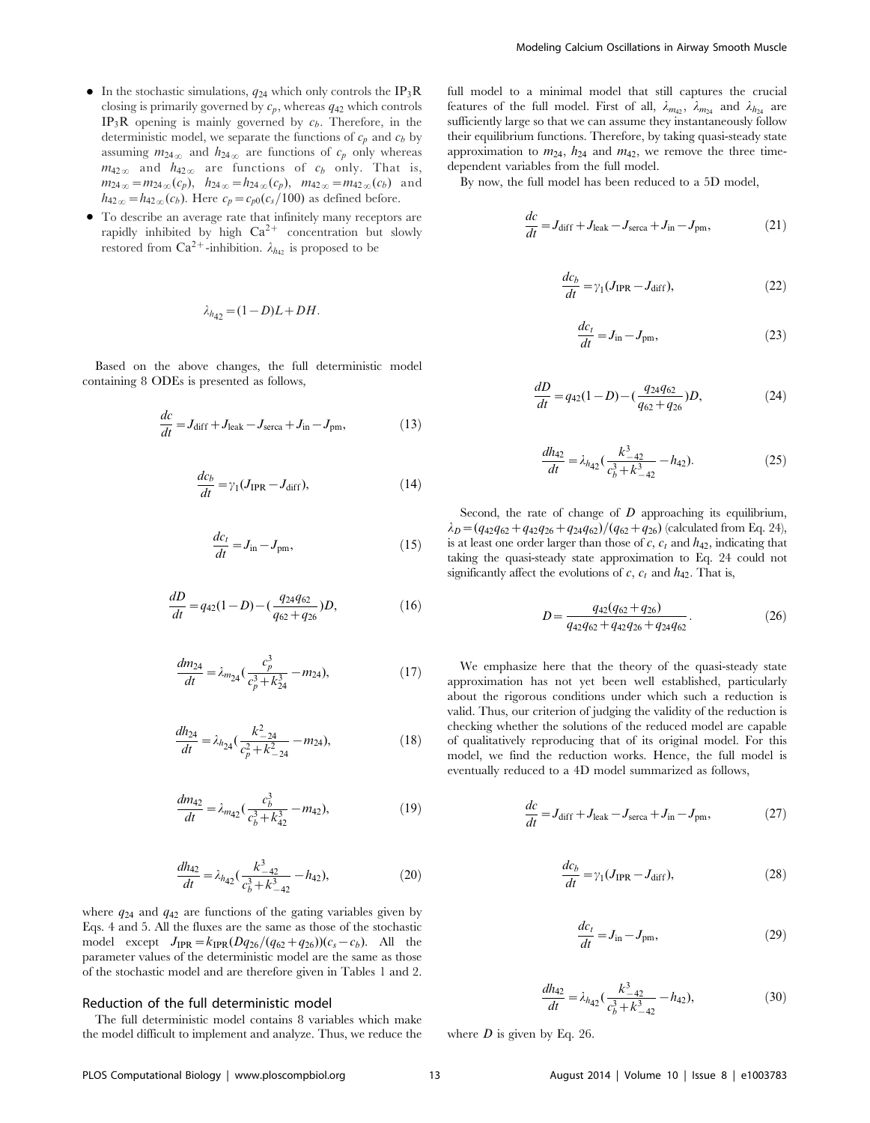- In the stochastic simulations,  $q_{24}$  which only controls the IP<sub>3</sub>R closing is primarily governed by  $c_p$ , whereas  $q_{42}$  which controls  $IP_3R$  opening is mainly governed by  $c_b$ . Therefore, in the deterministic model, we separate the functions of  $c_p$  and  $c_b$  by assuming  $m_{24\infty}$  and  $h_{24\infty}$  are functions of  $c_p$  only whereas  $m_{42\infty}$  and  $h_{42\infty}$  are functions of  $c_b$  only. That is,  $m_{24\infty} = m_{24\infty}(c_p)$ ,  $h_{24\infty} = h_{24\infty}(c_p)$ ,  $m_{42\infty} = m_{42\infty}(c_b)$  and  $h_{42\infty} = h_{42\infty}(c_b)$ . Here  $c_p = c_{p0}(c_s/100)$  as defined before.
- $\bullet$  To describe an average rate that infinitely many receptors are rapidly inhibited by high  $Ca^{2+}$  concentration but slowly restored from Ca<sup>2+</sup>-inhibition.  $\lambda_{h_{42}}$  is proposed to be

$$
\lambda_{h_{42}} = (1 - D)L + DH.
$$

Based on the above changes, the full deterministic model containing 8 ODEs is presented as follows,

$$
\frac{dc}{dt} = J_{\text{diff}} + J_{\text{leak}} - J_{\text{serca}} + J_{\text{in}} - J_{\text{pm}},\tag{13}
$$

$$
\frac{dc_b}{dt} = \gamma_1 (J_{\rm IPR} - J_{\rm diff}),\tag{14}
$$

$$
\frac{dc_t}{dt} = J_{\text{in}} - J_{\text{pm}},\tag{15}
$$

$$
\frac{dD}{dt} = q_{42}(1 - D) - \left(\frac{q_{24}q_{62}}{q_{62} + q_{26}}\right)D,\tag{16}
$$

$$
\frac{dm_{24}}{dt} = \lambda_{m_{24}} \left( \frac{c_p^3}{c_p^3 + k_{24}^3} - m_{24} \right),\tag{17}
$$

$$
\frac{dh_{24}}{dt} = \lambda_{h_{24}} \left( \frac{k_{-24}^2}{c_p^2 + k_{-24}^2} - m_{24} \right),\tag{18}
$$

$$
\frac{dm_{42}}{dt} = \lambda_{m_{42}} \left( \frac{c_b^3}{c_b^3 + k_{42}^3} - m_{42} \right),\tag{19}
$$

$$
\frac{dh_{42}}{dt} = \lambda_{h_{42}} \left( \frac{k_{-42}^3}{c_b^3 + k_{-42}^3} - h_{42} \right),\tag{20}
$$

where  $q_{24}$  and  $q_{42}$  are functions of the gating variables given by Eqs. 4 and 5. All the fluxes are the same as those of the stochastic model except  $J_{IPR} = k_{IPR}(Dq_{26}/(q_{62}+q_{26}))$  ( $c_s - c_b$ ). All the parameter values of the deterministic model are the same as those of the stochastic model and are therefore given in Tables 1 and 2.

#### Reduction of the full deterministic model

The full deterministic model contains 8 variables which make the model difficult to implement and analyze. Thus, we reduce the full model to a minimal model that still captures the crucial features of the full model. First of all,  $\lambda_{m42}$ ,  $\lambda_{m24}$  and  $\lambda_{h24}$  are sufficiently large so that we can assume they instantaneously follow their equilibrium functions. Therefore, by taking quasi-steady state approximation to  $m_{24}$ ,  $h_{24}$  and  $m_{42}$ , we remove the three timedependent variables from the full model.

By now, the full model has been reduced to a 5D model,

$$
\frac{dc}{dt} = J_{\text{diff}} + J_{\text{leak}} - J_{\text{serca}} + J_{\text{in}} - J_{\text{pm}},\tag{21}
$$

$$
\frac{dc_b}{dt} = \gamma_1 (J_{\rm IPR} - J_{\rm diff}),\tag{22}
$$

$$
\frac{dc_t}{dt} = J_{\text{in}} - J_{\text{pm}},\tag{23}
$$

$$
\frac{dD}{dt} = q_{42}(1 - D) - \left(\frac{q_{24}q_{62}}{q_{62} + q_{26}}\right)D,\tag{24}
$$

$$
\frac{dh_{42}}{dt} = \lambda_{h_{42}} \left( \frac{k_{-42}^3}{c_b^3 + k_{-42}^3} - h_{42} \right). \tag{25}
$$

Second, the rate of change of  $D$  approaching its equilibrium,  $\lambda_D=(q_{42}q_{62}+q_{42}q_{26}+q_{24}q_{62})/(q_{62}+q_{26})$  (calculated from Eq. 24), is at least one order larger than those of  $c$ ,  $c_t$  and  $h_{42}$ , indicating that taking the quasi-steady state approximation to Eq. 24 could not significantly affect the evolutions of c,  $c_t$  and  $h_{42}$ . That is,

$$
D = \frac{q_{42}(q_{62} + q_{26})}{q_{42}q_{62} + q_{42}q_{26} + q_{24}q_{62}}.
$$
 (26)

We emphasize here that the theory of the quasi-steady state approximation has not yet been well established, particularly about the rigorous conditions under which such a reduction is valid. Thus, our criterion of judging the validity of the reduction is checking whether the solutions of the reduced model are capable of qualitatively reproducing that of its original model. For this model, we find the reduction works. Hence, the full model is eventually reduced to a 4D model summarized as follows,

$$
\frac{dc}{dt} = J_{\text{diff}} + J_{\text{leak}} - J_{\text{serca}} + J_{\text{in}} - J_{\text{pm}},\tag{27}
$$

$$
\frac{dc_b}{dt} = \gamma_1 (J_{\rm IPR} - J_{\rm diff}), \tag{28}
$$

$$
\frac{dc_t}{dt} = J_{\text{in}} - J_{\text{pm}},\tag{29}
$$

$$
\frac{dh_{42}}{dt} = \lambda_{h_{42}} \left( \frac{k_{-42}^3}{c_b^3 + k_{-42}^3} - h_{42} \right),\tag{30}
$$

where  $D$  is given by Eq. 26.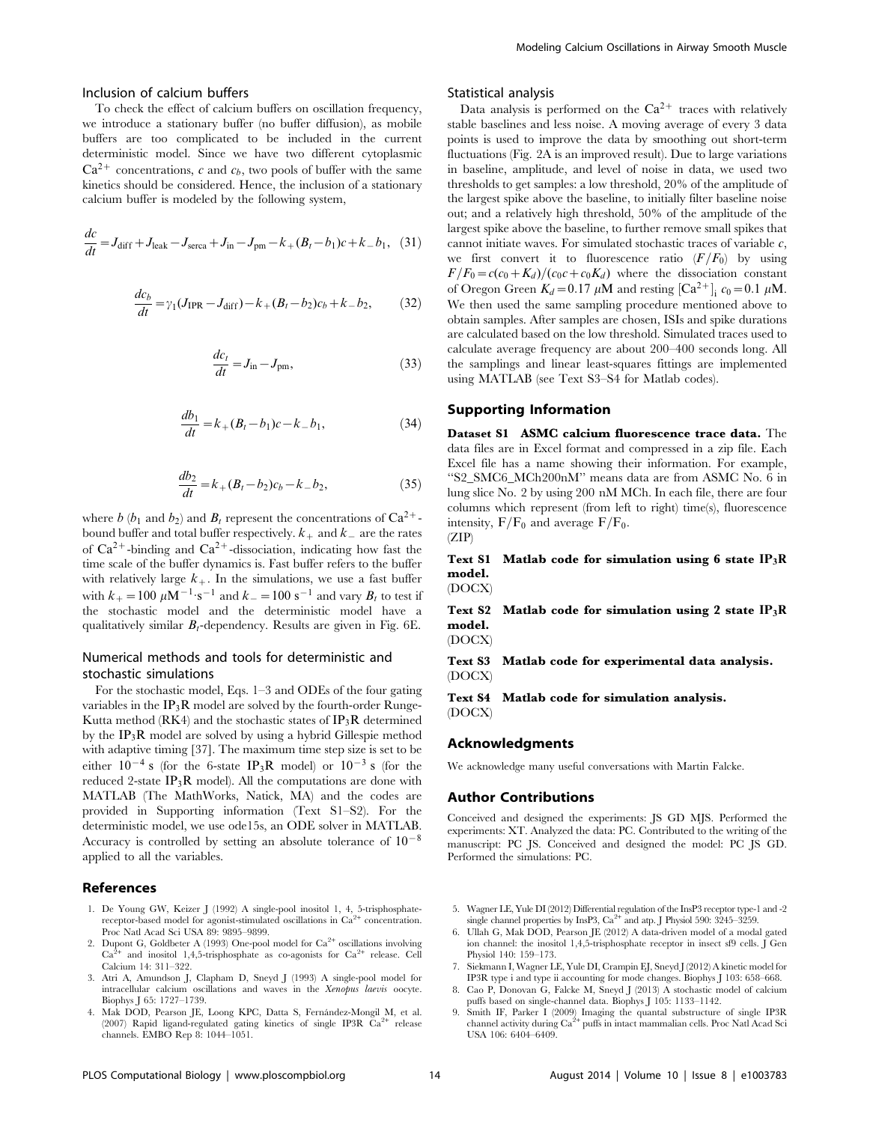#### Inclusion of calcium buffers

To check the effect of calcium buffers on oscillation frequency, we introduce a stationary buffer (no buffer diffusion), as mobile buffers are too complicated to be included in the current deterministic model. Since we have two different cytoplasmic  $Ca^{2+}$  concentrations, c and  $c_b$ , two pools of buffer with the same kinetics should be considered. Hence, the inclusion of a stationary calcium buffer is modeled by the following system,

$$
\frac{dc}{dt} = J_{\text{diff}} + J_{\text{leak}} - J_{\text{serca}} + J_{\text{in}} - J_{\text{pm}} - k_{+} (B_{t} - b_{1})c + k_{-} b_{1}, \quad (31)
$$

$$
\frac{dc_b}{dt} = \gamma_1 (J_{\text{IPR}} - J_{\text{diff}}) - k_+ (B_t - b_2)c_b + k_- b_2,\tag{32}
$$

$$
\frac{dc_t}{dt} = J_{\text{in}} - J_{\text{pm}},\tag{33}
$$

$$
\frac{db_1}{dt} = k_+(B_t - b_1)c - k_-b_1,\tag{34}
$$

$$
\frac{db_2}{dt} = k_+(B_t - b_2)c_b - k_-b_2,\tag{35}
$$

where b (b<sub>1</sub> and b<sub>2</sub>) and  $B_t$  represent the concentrations of  $Ca^{2+}$ bound buffer and total buffer respectively.  $k_{+}$  and  $k_{-}$  are the rates of  $Ca^{2+}$ -binding and  $Ca^{2+}$ -dissociation, indicating how fast the time scale of the buffer dynamics is. Fast buffer refers to the buffer with relatively large  $k_{+}$ . In the simulations, we use a fast buffer with  $k_{+} = 100 \ \mu \text{M}^{-1} \cdot \text{s}^{-1}$  and  $k_{-} = 100 \ \text{s}^{-1}$  and vary  $B_t$  to test if the stochastic model and the deterministic model have a qualitatively similar  $B_t$ -dependency. Results are given in Fig. 6E.

## Numerical methods and tools for deterministic and stochastic simulations

For the stochastic model, Eqs. 1–3 and ODEs of the four gating variables in the  $IP_3R$  model are solved by the fourth-order Runge-Kutta method (RK4) and the stochastic states of  $IP_3R$  determined by the IP3R model are solved by using a hybrid Gillespie method with adaptive timing [37]. The maximum time step size is set to be either  $10^{-4}$  s (for the 6-state IP<sub>3</sub>R model) or  $10^{-3}$  s (for the reduced 2-state  $IP_3R$  model). All the computations are done with MATLAB (The MathWorks, Natick, MA) and the codes are provided in Supporting information (Text S1–S2). For the deterministic model, we use ode15s, an ODE solver in MATLAB. Accuracy is controlled by setting an absolute tolerance of  $10^{-8}$ applied to all the variables.

#### References

- 1. De Young GW, Keizer J (1992) A single-pool inositol 1, 4, 5-trisphosphatereceptor-based model for agonist-stimulated oscillations in Ca<sup>2+</sup> concentration. Proc Natl Acad Sci USA 89: 9895–9899.
- 2. Dupont G, Goldbeter A (1993) One-pool model for  $Ca^{2+}$  oscillations involving  $Ca^{2+}$  and inositol 1,4,5-trisphosphate as co-agonists for  $Ca^{2+}$  release. Cell Calcium 14: 311–322.
- 3. Atri A, Amundson J, Clapham D, Sneyd J (1993) A single-pool model for intracellular calcium oscillations and waves in the Xenopus laevis oocyte. Biophys J 65: 1727–1739.
- 4. Mak DOD, Pearson JE, Loong KPC, Datta S, Ferna´ndez-Mongil M, et al. (2007) Rapid ligand-regulated gating kinetics of single IP3R  $Ca^{2+}$  release channels. EMBO Rep 8: 1044–1051.

## Statistical analysis

Data analysis is performed on the  $Ca^{2+}$  traces with relatively stable baselines and less noise. A moving average of every 3 data points is used to improve the data by smoothing out short-term fluctuations (Fig. 2A is an improved result). Due to large variations in baseline, amplitude, and level of noise in data, we used two thresholds to get samples: a low threshold, 20% of the amplitude of the largest spike above the baseline, to initially filter baseline noise out; and a relatively high threshold, 50% of the amplitude of the largest spike above the baseline, to further remove small spikes that cannot initiate waves. For simulated stochastic traces of variable  $c$ , we first convert it to fluorescence ratio  $(F/F_0)$  by using  $F/F_0=c(c_0+K_d)/(c_0c+c_0K_d)$  where the dissociation constant of Oregon Green  $K_d = 0.17 \mu \text{M}$  and resting  $\left[ \text{Ca}^{2+} \right]_i c_0 = 0.1 \mu \text{M}$ . We then used the same sampling procedure mentioned above to obtain samples. After samples are chosen, ISIs and spike durations are calculated based on the low threshold. Simulated traces used to calculate average frequency are about 200–400 seconds long. All the samplings and linear least-squares fittings are implemented using MATLAB (see Text S3–S4 for Matlab codes).

#### Supporting Information

Dataset S1 ASMC calcium fluorescence trace data. The data files are in Excel format and compressed in a zip file. Each Excel file has a name showing their information. For example, ''S2\_SMC6\_MCh200nM'' means data are from ASMC No. 6 in lung slice No. 2 by using 200 nM MCh. In each file, there are four columns which represent (from left to right) time(s), fluorescence intensity,  $F/F_0$  and average  $F/F_0$ .  $(ZIP)$ 

## Text S1 Matlab code for simulation using 6 state  $IP_3R$ model.

(DOCX)

Text S2 Matlab code for simulation using 2 state  $IP_3R$ model.

(DOCX)

Text S3 Matlab code for experimental data analysis. (DOCX)

Text S4 Matlab code for simulation analysis. (DOCX)

#### Acknowledgments

We acknowledge many useful conversations with Martin Falcke.

#### Author Contributions

Conceived and designed the experiments: JS GD MJS. Performed the experiments: XT. Analyzed the data: PC. Contributed to the writing of the manuscript: PC JS. Conceived and designed the model: PC JS GD. Performed the simulations: PC.

- 5. Wagner LE, Yule DI (2012) Differential regulation of the InsP3 receptor type-1 and -2 single channel properties by InsP3,  $Ca^{2+}$  and atp. J Physiol 590: 3245–3259.
- 6. Ullah G, Mak DOD, Pearson JE (2012) A data-driven model of a modal gated ion channel: the inositol 1,4,5-trisphosphate receptor in insect sf9 cells. J Gen Physiol 140: 159–173.
- 7. Siekmann I, Wagner LE, Yule DI, Crampin EJ, Sneyd J (2012) A kinetic model for IP3R type i and type ii accounting for mode changes. Biophys J 103: 658–668.
- 8. Cao P, Donovan G, Falcke M, Sneyd J (2013) A stochastic model of calcium puffs based on single-channel data. Biophys J 105: 1133–1142.
- 9. Smith IF, Parker I (2009) Imaging the quantal substructure of single IP3R channel activity during  $Ca^{2+}$  puffs in intact mammalian cells. Proc Natl Acad Sci USA 106: 6404–6409.